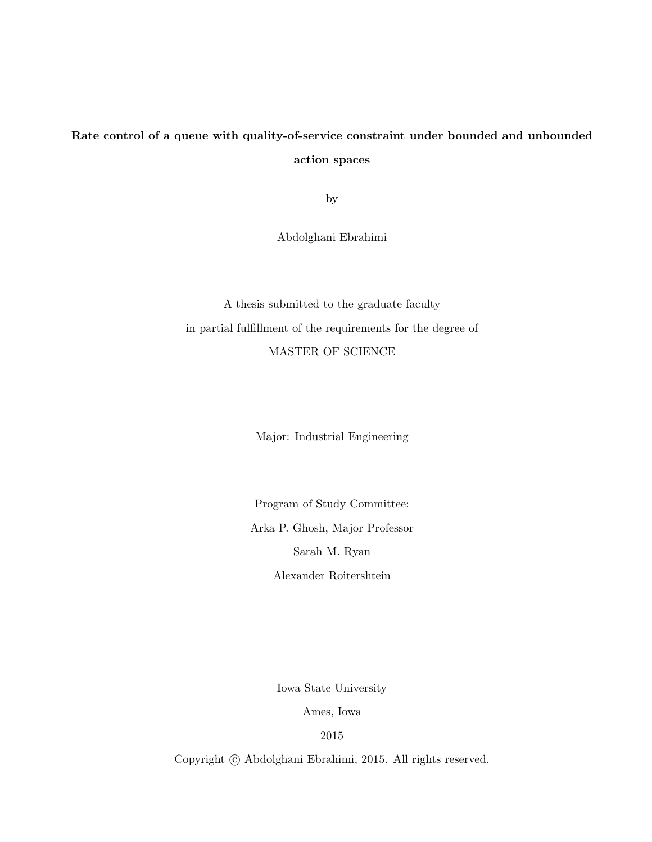# Rate control of a queue with quality-of-service constraint under bounded and unbounded action spaces

by

Abdolghani Ebrahimi

A thesis submitted to the graduate faculty in partial fulfillment of the requirements for the degree of MASTER OF SCIENCE

Major: Industrial Engineering

Program of Study Committee: Arka P. Ghosh, Major Professor Sarah M. Ryan Alexander Roitershtein

Iowa State University

Ames, Iowa

2015

Copyright  $\odot$  Abdolghani Ebrahimi, 2015. All rights reserved.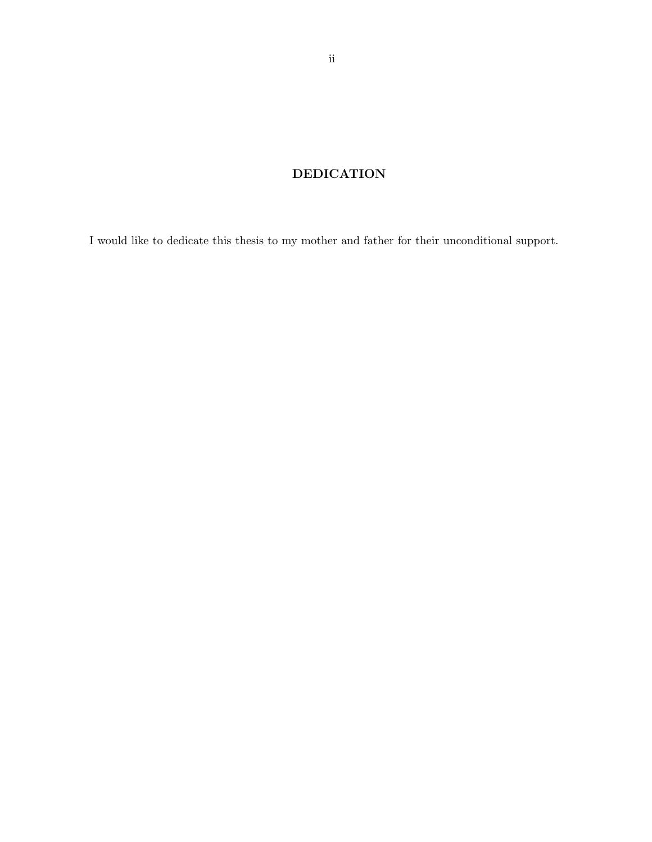## DEDICATION

I would like to dedicate this thesis to my mother and father for their unconditional support.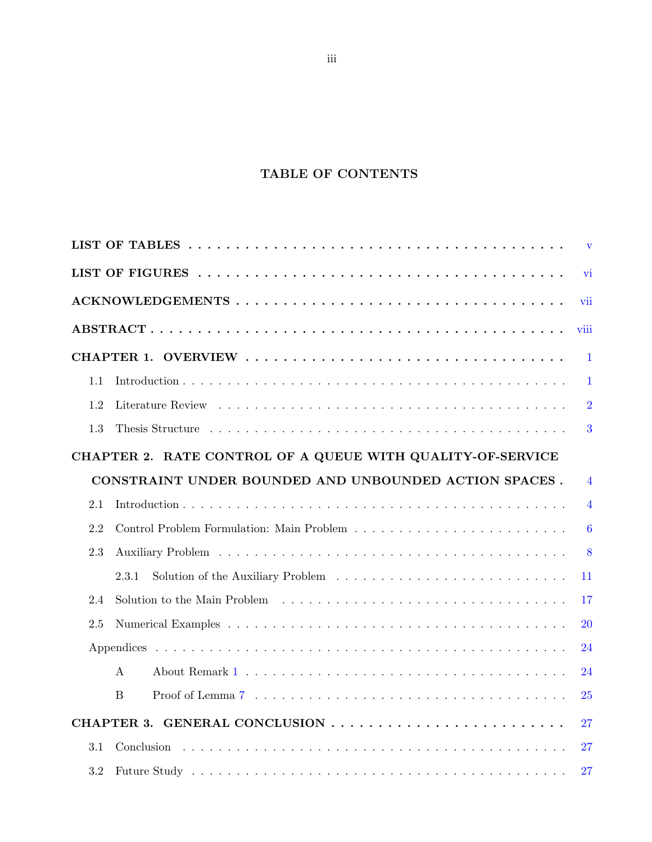## TABLE OF CONTENTS

| $\mathbf{V}$                                               |                                                       |                 |  |  |  |  |  |  |  |
|------------------------------------------------------------|-------------------------------------------------------|-----------------|--|--|--|--|--|--|--|
| vi                                                         |                                                       |                 |  |  |  |  |  |  |  |
|                                                            |                                                       | vii             |  |  |  |  |  |  |  |
|                                                            |                                                       | viii            |  |  |  |  |  |  |  |
|                                                            |                                                       | $\mathbf{1}$    |  |  |  |  |  |  |  |
| 1.1                                                        |                                                       | $\mathbf{1}$    |  |  |  |  |  |  |  |
| 1.2                                                        |                                                       | $\overline{2}$  |  |  |  |  |  |  |  |
| 1.3                                                        |                                                       | 3               |  |  |  |  |  |  |  |
| CHAPTER 2. RATE CONTROL OF A QUEUE WITH QUALITY-OF-SERVICE |                                                       |                 |  |  |  |  |  |  |  |
|                                                            | CONSTRAINT UNDER BOUNDED AND UNBOUNDED ACTION SPACES. | $\overline{4}$  |  |  |  |  |  |  |  |
| 2.1                                                        |                                                       | $\overline{4}$  |  |  |  |  |  |  |  |
| 2.2                                                        |                                                       | $6\phantom{1}6$ |  |  |  |  |  |  |  |
| 2.3                                                        |                                                       | 8               |  |  |  |  |  |  |  |
|                                                            | 2.3.1                                                 | 11              |  |  |  |  |  |  |  |
| 2.4                                                        |                                                       | 17              |  |  |  |  |  |  |  |
| 2.5                                                        |                                                       | 20              |  |  |  |  |  |  |  |
|                                                            |                                                       | 24              |  |  |  |  |  |  |  |
|                                                            | $\mathbf{A}$                                          | 24              |  |  |  |  |  |  |  |
|                                                            | B                                                     | 25              |  |  |  |  |  |  |  |
|                                                            | CHAPTER 3. GENERAL CONCLUSION                         | 27              |  |  |  |  |  |  |  |
| 3.1                                                        |                                                       | 27              |  |  |  |  |  |  |  |
| 3.2                                                        |                                                       | 27              |  |  |  |  |  |  |  |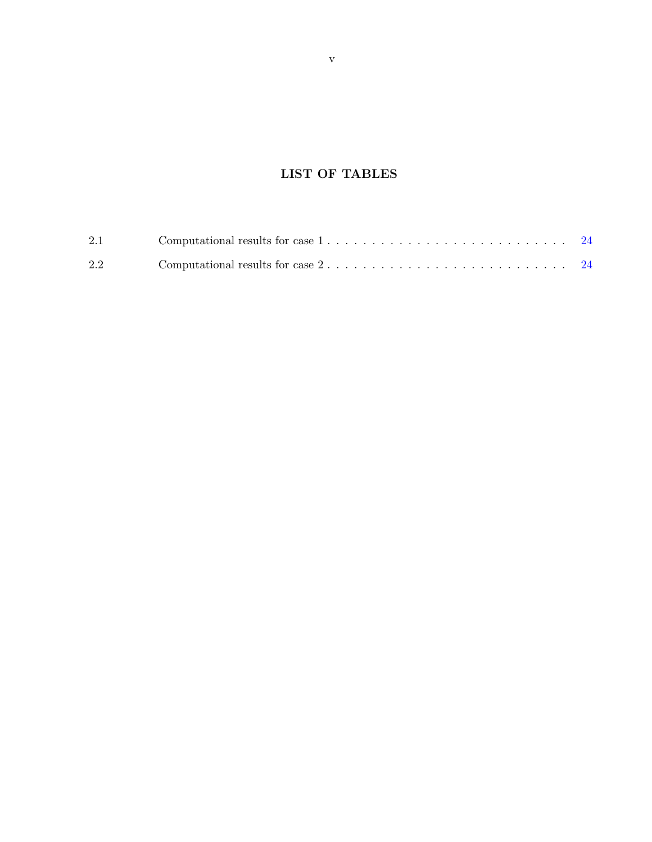## LIST OF TABLES

<span id="page-4-0"></span>

| 2.1 |                                                                                                |  |
|-----|------------------------------------------------------------------------------------------------|--|
| 2.2 | Computational results for case $2, \ldots, \ldots, \ldots, \ldots, \ldots, \ldots, \ldots, 24$ |  |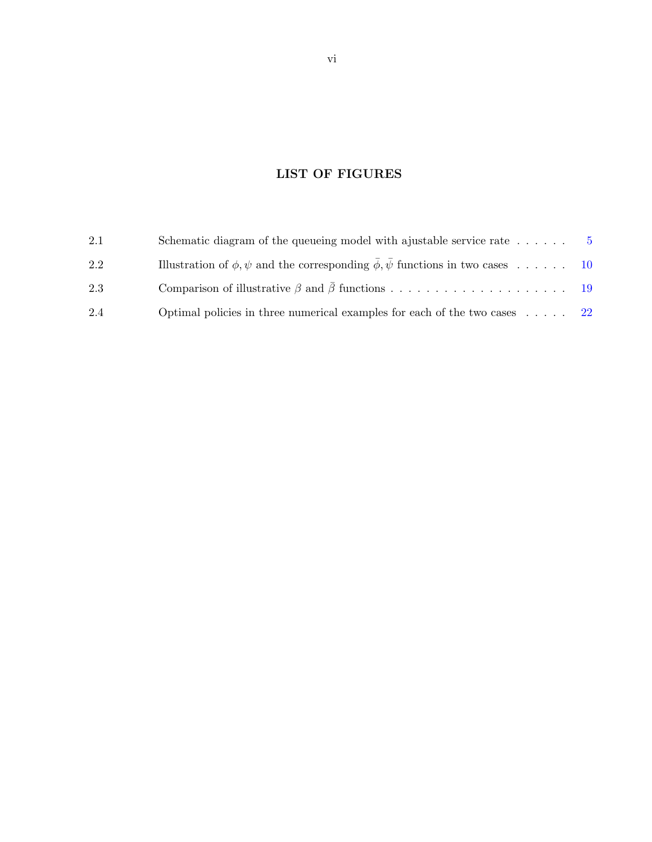## LIST OF FIGURES

<span id="page-5-0"></span>

| 2.1 | Schematic diagram of the queueing model with a justable service rate $\dots \dots$         | - 5 |
|-----|--------------------------------------------------------------------------------------------|-----|
| 2.2 | Illustration of $\phi, \psi$ and the corresponding $\phi, \psi$ functions in two cases  10 |     |
| 2.3 |                                                                                            |     |
| 2.4 | Optimal policies in three numerical examples for each of the two cases $\ldots$ 22         |     |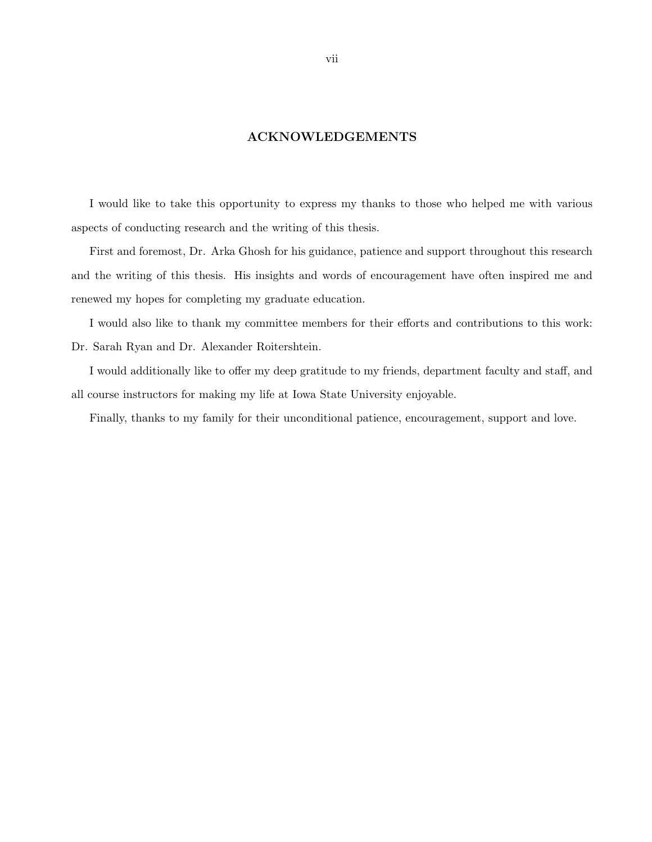### ACKNOWLEDGEMENTS

<span id="page-6-0"></span>I would like to take this opportunity to express my thanks to those who helped me with various aspects of conducting research and the writing of this thesis.

First and foremost, Dr. Arka Ghosh for his guidance, patience and support throughout this research and the writing of this thesis. His insights and words of encouragement have often inspired me and renewed my hopes for completing my graduate education.

I would also like to thank my committee members for their efforts and contributions to this work: Dr. Sarah Ryan and Dr. Alexander Roitershtein.

I would additionally like to offer my deep gratitude to my friends, department faculty and staff, and all course instructors for making my life at Iowa State University enjoyable.

Finally, thanks to my family for their unconditional patience, encouragement, support and love.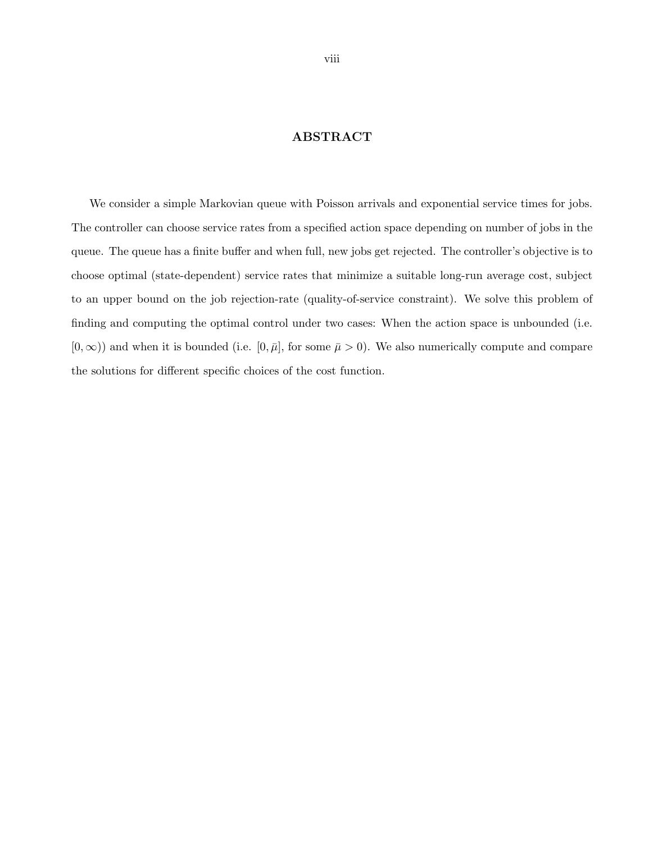### ABSTRACT

<span id="page-7-0"></span>We consider a simple Markovian queue with Poisson arrivals and exponential service times for jobs. The controller can choose service rates from a specified action space depending on number of jobs in the queue. The queue has a finite buffer and when full, new jobs get rejected. The controller's objective is to choose optimal (state-dependent) service rates that minimize a suitable long-run average cost, subject to an upper bound on the job rejection-rate (quality-of-service constraint). We solve this problem of finding and computing the optimal control under two cases: When the action space is unbounded (i.e.  $[0, \infty)$ ) and when it is bounded (i.e.  $[0, \bar{\mu}]$ , for some  $\bar{\mu} > 0$ ). We also numerically compute and compare the solutions for different specific choices of the cost function.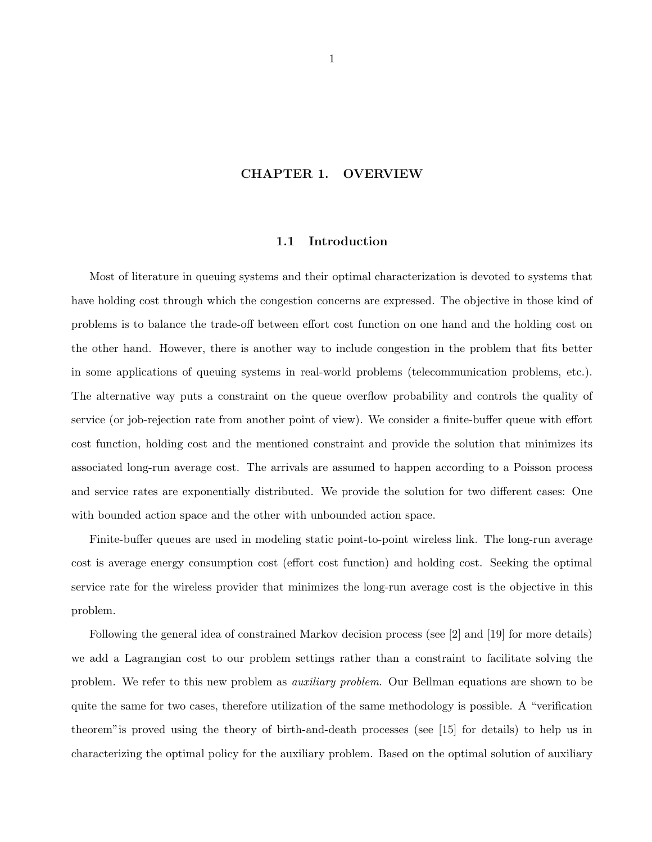#### CHAPTER 1. OVERVIEW

#### 1.1 Introduction

<span id="page-8-0"></span>Most of literature in queuing systems and their optimal characterization is devoted to systems that have holding cost through which the congestion concerns are expressed. The objective in those kind of problems is to balance the trade-off between effort cost function on one hand and the holding cost on the other hand. However, there is another way to include congestion in the problem that fits better in some applications of queuing systems in real-world problems (telecommunication problems, etc.). The alternative way puts a constraint on the queue overflow probability and controls the quality of service (or job-rejection rate from another point of view). We consider a finite-buffer queue with effort cost function, holding cost and the mentioned constraint and provide the solution that minimizes its associated long-run average cost. The arrivals are assumed to happen according to a Poisson process and service rates are exponentially distributed. We provide the solution for two different cases: One with bounded action space and the other with unbounded action space.

Finite-buffer queues are used in modeling static point-to-point wireless link. The long-run average cost is average energy consumption cost (effort cost function) and holding cost. Seeking the optimal service rate for the wireless provider that minimizes the long-run average cost is the objective in this problem.

Following the general idea of constrained Markov decision process (see [2] and [19] for more details) we add a Lagrangian cost to our problem settings rather than a constraint to facilitate solving the problem. We refer to this new problem as auxiliary problem. Our Bellman equations are shown to be quite the same for two cases, therefore utilization of the same methodology is possible. A "verification theorem"is proved using the theory of birth-and-death processes (see [15] for details) to help us in characterizing the optimal policy for the auxiliary problem. Based on the optimal solution of auxiliary

1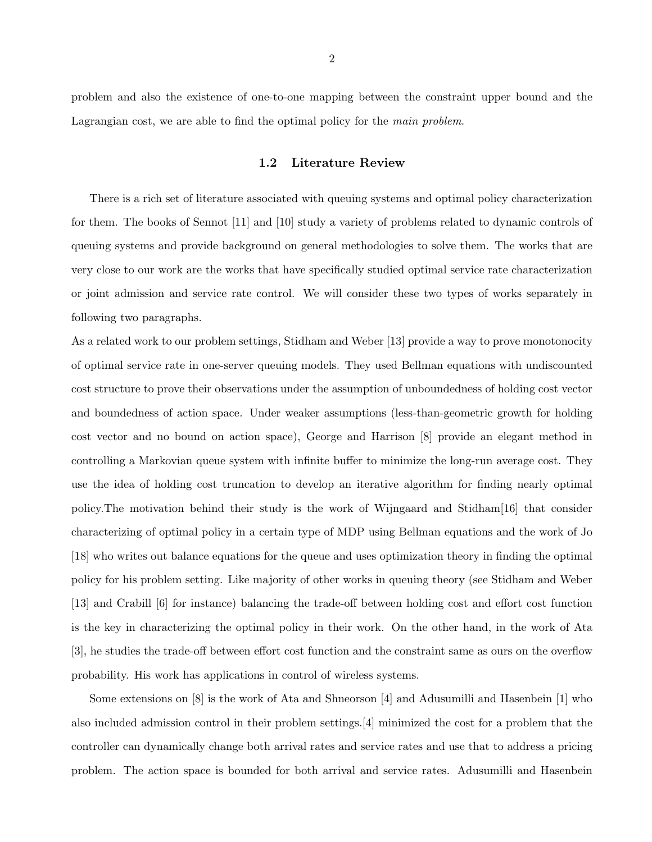<span id="page-9-0"></span>problem and also the existence of one-to-one mapping between the constraint upper bound and the Lagrangian cost, we are able to find the optimal policy for the main problem.

#### 1.2 Literature Review

There is a rich set of literature associated with queuing systems and optimal policy characterization for them. The books of Sennot [11] and [10] study a variety of problems related to dynamic controls of queuing systems and provide background on general methodologies to solve them. The works that are very close to our work are the works that have specifically studied optimal service rate characterization or joint admission and service rate control. We will consider these two types of works separately in following two paragraphs.

As a related work to our problem settings, Stidham and Weber [13] provide a way to prove monotonocity of optimal service rate in one-server queuing models. They used Bellman equations with undiscounted cost structure to prove their observations under the assumption of unboundedness of holding cost vector and boundedness of action space. Under weaker assumptions (less-than-geometric growth for holding cost vector and no bound on action space), George and Harrison [8] provide an elegant method in controlling a Markovian queue system with infinite buffer to minimize the long-run average cost. They use the idea of holding cost truncation to develop an iterative algorithm for finding nearly optimal policy.The motivation behind their study is the work of Wijngaard and Stidham[16] that consider characterizing of optimal policy in a certain type of MDP using Bellman equations and the work of Jo [18] who writes out balance equations for the queue and uses optimization theory in finding the optimal policy for his problem setting. Like majority of other works in queuing theory (see Stidham and Weber [13] and Crabill [6] for instance) balancing the trade-off between holding cost and effort cost function is the key in characterizing the optimal policy in their work. On the other hand, in the work of Ata [3], he studies the trade-off between effort cost function and the constraint same as ours on the overflow probability. His work has applications in control of wireless systems.

Some extensions on [8] is the work of Ata and Shneorson [4] and Adusumilli and Hasenbein [1] who also included admission control in their problem settings.[4] minimized the cost for a problem that the controller can dynamically change both arrival rates and service rates and use that to address a pricing problem. The action space is bounded for both arrival and service rates. Adusumilli and Hasenbein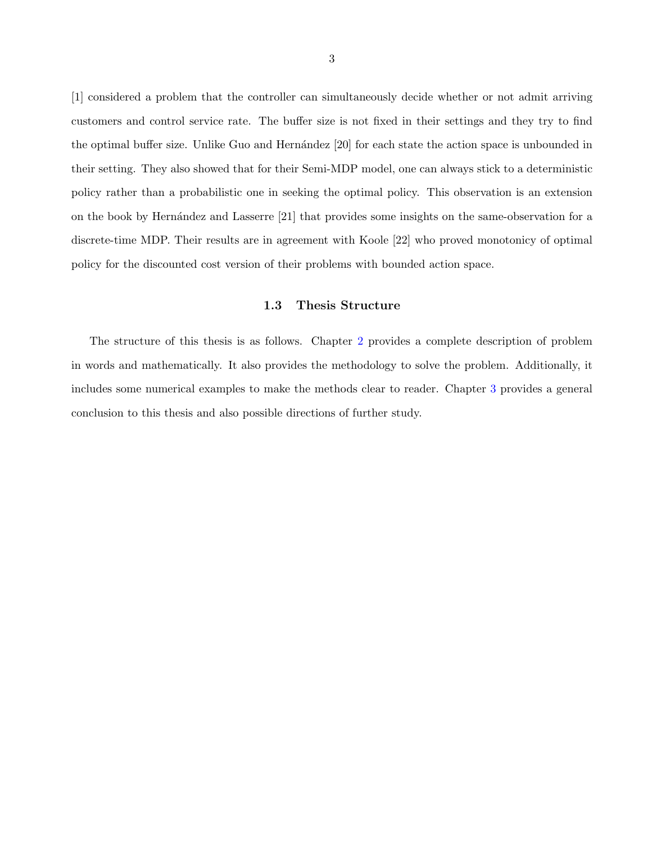<span id="page-10-0"></span>[1] considered a problem that the controller can simultaneously decide whether or not admit arriving customers and control service rate. The buffer size is not fixed in their settings and they try to find the optimal buffer size. Unlike Guo and Hernández [20] for each state the action space is unbounded in their setting. They also showed that for their Semi-MDP model, one can always stick to a deterministic policy rather than a probabilistic one in seeking the optimal policy. This observation is an extension on the book by Hernández and Lasserre [21] that provides some insights on the same-observation for a discrete-time MDP. Their results are in agreement with Koole [22] who proved monotonicy of optimal policy for the discounted cost version of their problems with bounded action space.

#### 1.3 Thesis Structure

The structure of this thesis is as follows. Chapter [2](#page-11-0) provides a complete description of problem in words and mathematically. It also provides the methodology to solve the problem. Additionally, it includes some numerical examples to make the methods clear to reader. Chapter [3](#page-34-0) provides a general conclusion to this thesis and also possible directions of further study.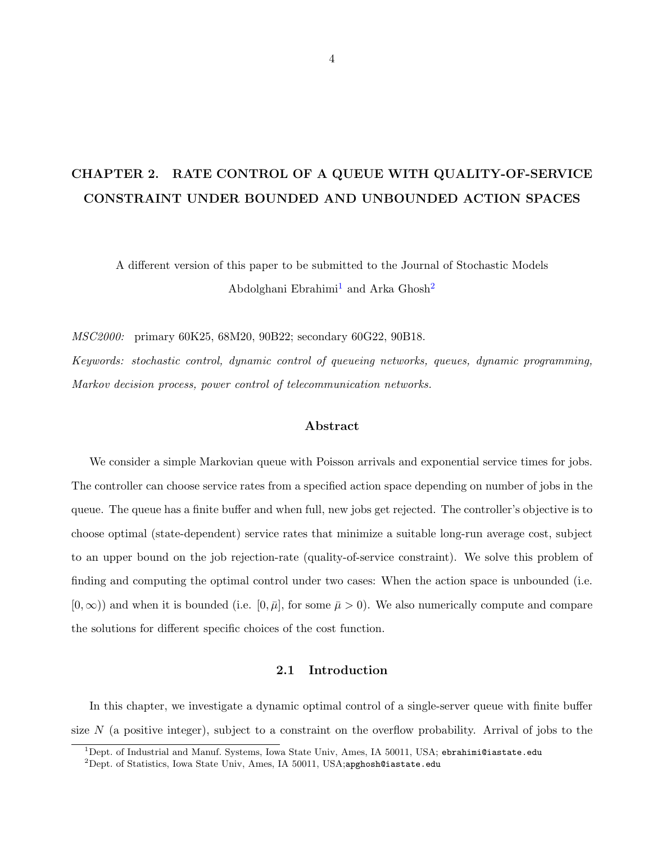# <span id="page-11-0"></span>CHAPTER 2. RATE CONTROL OF A QUEUE WITH QUALITY-OF-SERVICE CONSTRAINT UNDER BOUNDED AND UNBOUNDED ACTION SPACES

A different version of this paper to be submitted to the Journal of Stochastic Models Abdolghani Ebrahimi<sup>1</sup> and Arka Ghosh<sup>2</sup>

MSC2000: primary 60K25, 68M20, 90B22; secondary 60G22, 90B18.

Keywords: stochastic control, dynamic control of queueing networks, queues, dynamic programming, Markov decision process, power control of telecommunication networks.

#### Abstract

We consider a simple Markovian queue with Poisson arrivals and exponential service times for jobs. The controller can choose service rates from a specified action space depending on number of jobs in the queue. The queue has a finite buffer and when full, new jobs get rejected. The controller's objective is to choose optimal (state-dependent) service rates that minimize a suitable long-run average cost, subject to an upper bound on the job rejection-rate (quality-of-service constraint). We solve this problem of finding and computing the optimal control under two cases: When the action space is unbounded (i.e.  $[0, \infty)$ ) and when it is bounded (i.e.  $[0, \bar{\mu}]$ , for some  $\bar{\mu} > 0$ ). We also numerically compute and compare the solutions for different specific choices of the cost function.

#### 2.1 Introduction

In this chapter, we investigate a dynamic optimal control of a single-server queue with finite buffer size  $N$  (a positive integer), subject to a constraint on the overflow probability. Arrival of jobs to the

 $1$ Dept. of Industrial and Manuf. Systems, Iowa State Univ, Ames, IA 50011, USA; ebrahimi@iastate.edu

 $^{2}$ Dept. of Statistics, Iowa State Univ, Ames, IA 50011, USA;apghosh@iastate.edu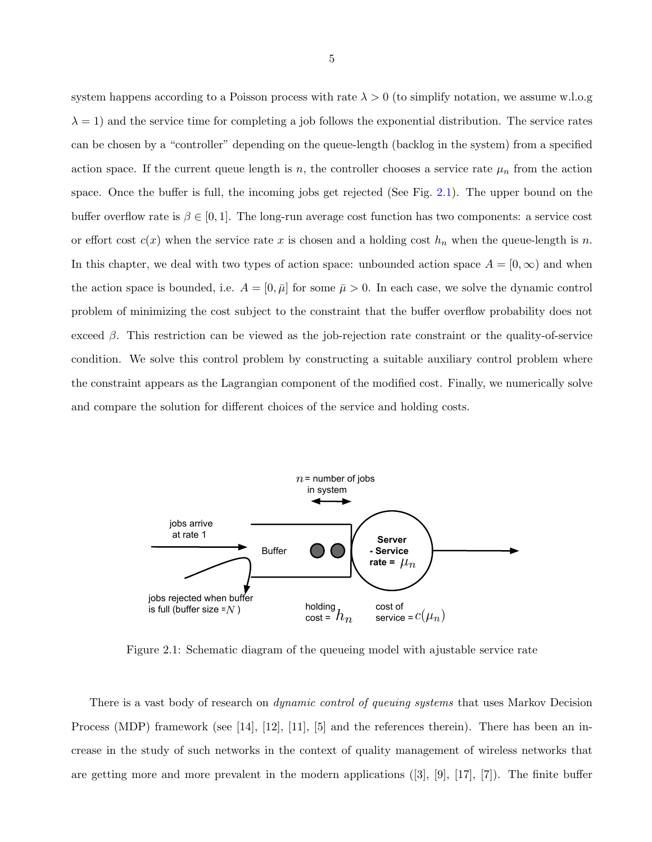<span id="page-12-0"></span>system happens according to a Poisson process with rate  $\lambda > 0$  (to simplify notation, we assume w.l.o.g  $\lambda = 1$ ) and the service time for completing a job follows the exponential distribution. The service rates can be chosen by a "controller" depending on the queue-length (backlog in the system) from a specified action space. If the current queue length is n, the controller chooses a service rate  $\mu_n$  from the action space. Once the buffer is full, the incoming jobs get rejected (See Fig. 2.1). The upper bound on the buffer overflow rate is  $\beta \in [0, 1]$ . The long-run average cost function has two components: a service cost or effort cost  $c(x)$  when the service rate x is chosen and a holding cost  $h_n$  when the queue-length is n. In this chapter, we deal with two types of action space: unbounded action space  $A = [0, \infty)$  and when the action space is bounded, i.e.  $A = [0, \bar{\mu}]$  for some  $\bar{\mu} > 0$ . In each case, we solve the dynamic control problem of minimizing the cost subject to the constraint that the buffer overflow probability does not exceed  $\beta$ . This restriction can be viewed as the job-rejection rate constraint or the quality-of-service condition. We solve this control problem by constructing a suitable auxiliary control problem where the constraint appears as the Lagrangian component of the modified cost. Finally, we numerically solve and compare the solution for different choices of the service and holding costs.



Figure 2.1: Schematic diagram of the queueing model with ajustable service rate

There is a vast body of research on *dynamic control of queuing systems* that uses Markov Decision Process (MDP) framework (see [14], [12], [11], [5] and the references therein). There has been an increase in the study of such networks in the context of quality management of wireless networks that are getting more and more prevalent in the modern applications  $([3], [9], [17], [7])$ . The finite buffer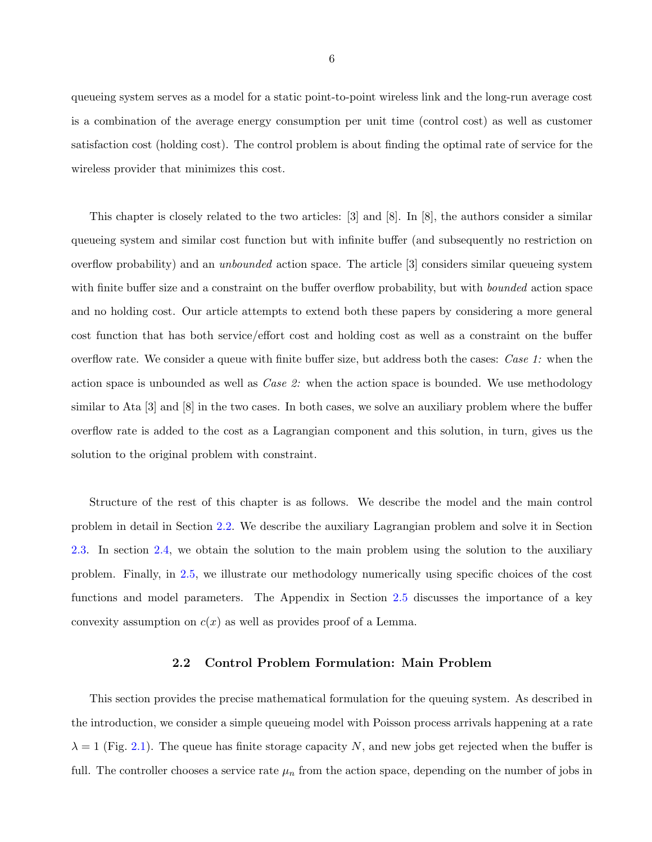<span id="page-13-0"></span>queueing system serves as a model for a static point-to-point wireless link and the long-run average cost is a combination of the average energy consumption per unit time (control cost) as well as customer satisfaction cost (holding cost). The control problem is about finding the optimal rate of service for the wireless provider that minimizes this cost.

This chapter is closely related to the two articles: [3] and [8]. In [8], the authors consider a similar queueing system and similar cost function but with infinite buffer (and subsequently no restriction on overflow probability) and an *unbounded* action space. The article [3] considers similar queueing system with finite buffer size and a constraint on the buffer overflow probability, but with *bounded* action space and no holding cost. Our article attempts to extend both these papers by considering a more general cost function that has both service/effort cost and holding cost as well as a constraint on the buffer overflow rate. We consider a queue with finite buffer size, but address both the cases: Case 1: when the action space is unbounded as well as *Case 2*: when the action space is bounded. We use methodology similar to Ata [3] and [8] in the two cases. In both cases, we solve an auxiliary problem where the buffer overflow rate is added to the cost as a Lagrangian component and this solution, in turn, gives us the solution to the original problem with constraint.

Structure of the rest of this chapter is as follows. We describe the model and the main control problem in detail in Section 2.2. We describe the auxiliary Lagrangian problem and solve it in Section [2.3.](#page-15-0) In section [2.4,](#page-24-0) we obtain the solution to the main problem using the solution to the auxiliary problem. Finally, in [2.5,](#page-27-0) we illustrate our methodology numerically using specific choices of the cost functions and model parameters. The Appendix in Section [2.5](#page-31-0) discusses the importance of a key convexity assumption on  $c(x)$  as well as provides proof of a Lemma.

#### 2.2 Control Problem Formulation: Main Problem

This section provides the precise mathematical formulation for the queuing system. As described in the introduction, we consider a simple queueing model with Poisson process arrivals happening at a rate  $\lambda = 1$  (Fig. [2.1\)](#page-12-0). The queue has finite storage capacity N, and new jobs get rejected when the buffer is full. The controller chooses a service rate  $\mu_n$  from the action space, depending on the number of jobs in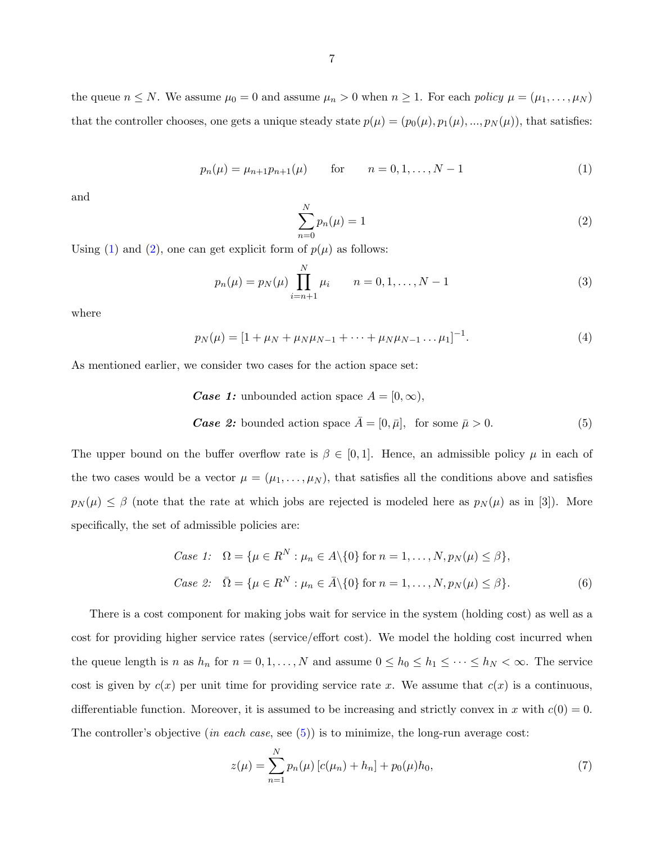<span id="page-14-0"></span>the queue  $n \leq N$ . We assume  $\mu_0 = 0$  and assume  $\mu_n > 0$  when  $n \geq 1$ . For each policy  $\mu = (\mu_1, \dots, \mu_N)$ that the controller chooses, one gets a unique steady state  $p(\mu) = (p_0(\mu), p_1(\mu), ..., p_N(\mu))$ , that satisfies:

$$
p_n(\mu) = \mu_{n+1} p_{n+1}(\mu) \qquad \text{for} \qquad n = 0, 1, \dots, N-1 \tag{1}
$$

and

$$
\sum_{n=0}^{N} p_n(\mu) = 1
$$
 (2)

Using (1) and (2), one can get explicit form of  $p(\mu)$  as follows:

$$
p_n(\mu) = p_N(\mu) \prod_{i=n+1}^N \mu_i \qquad n = 0, 1, \dots, N-1
$$
 (3)

where

$$
p_N(\mu) = [1 + \mu_N + \mu_N \mu_{N-1} + \dots + \mu_N \mu_{N-1} \dots \mu_1]^{-1}.
$$
 (4)

As mentioned earlier, we consider two cases for the action space set:

Case 1: unbounded action space 
$$
A = [0, \infty)
$$
,  
\nCase 2: bounded action space  $\bar{A} = [0, \bar{\mu}]$ , for some  $\bar{\mu} > 0$ . (5)

The upper bound on the buffer overflow rate is  $\beta \in [0,1]$ . Hence, an admissible policy  $\mu$  in each of the two cases would be a vector  $\mu = (\mu_1, \dots, \mu_N)$ , that satisfies all the conditions above and satisfies  $p_N(\mu) \leq \beta$  (note that the rate at which jobs are rejected is modeled here as  $p_N(\mu)$  as in [3]). More specifically, the set of admissible policies are:

Case 1: 
$$
\Omega = \{ \mu \in R^N : \mu_n \in A \setminus \{0\} \text{ for } n = 1, ..., N, p_N(\mu) \le \beta \},
$$
  
Case 2: 
$$
\overline{\Omega} = \{ \mu \in R^N : \mu_n \in \overline{A} \setminus \{0\} \text{ for } n = 1, ..., N, p_N(\mu) \le \beta \}.
$$
 (6)

There is a cost component for making jobs wait for service in the system (holding cost) as well as a cost for providing higher service rates (service/effort cost). We model the holding cost incurred when the queue length is n as  $h_n$  for  $n = 0, 1, ..., N$  and assume  $0 \le h_0 \le h_1 \le \cdots \le h_N < \infty$ . The service cost is given by  $c(x)$  per unit time for providing service rate x. We assume that  $c(x)$  is a continuous, differentiable function. Moreover, it is assumed to be increasing and strictly convex in x with  $c(0) = 0$ . The controller's objective (in each case, see  $(5)$ ) is to minimize, the long-run average cost:

$$
z(\mu) = \sum_{n=1}^{N} p_n(\mu) \left[ c(\mu_n) + h_n \right] + p_0(\mu) h_0,
$$
\n(7)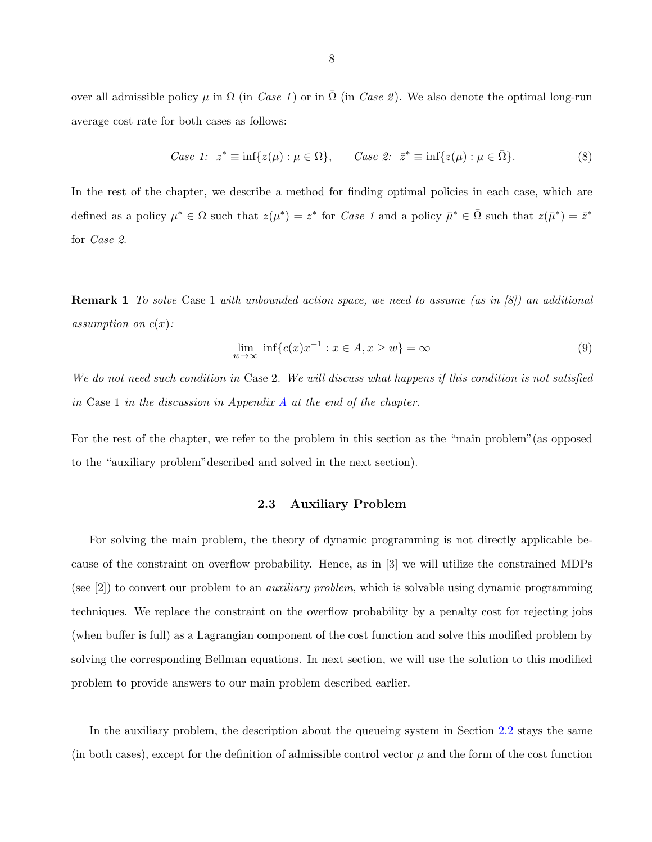<span id="page-15-0"></span>over all admissible policy  $\mu$  in  $\Omega$  (in *Case 1*) or in  $\Omega$  (in *Case 2*). We also denote the optimal long-run average cost rate for both cases as follows:

Case 1: 
$$
z^* \equiv \inf\{z(\mu) : \mu \in \Omega\}
$$
,  $Case 2: \quad \bar{z}^* \equiv \inf\{z(\mu) : \mu \in \bar{\Omega}\}$ . (8)

In the rest of the chapter, we describe a method for finding optimal policies in each case, which are defined as a policy  $\mu^* \in \Omega$  such that  $z(\mu^*) = z^*$  for *Case 1* and a policy  $\bar{\mu}^* \in \bar{\Omega}$  such that  $z(\bar{\mu}^*) = \bar{z}^*$ for Case 2.

**Remark 1** To solve Case 1 with unbounded action space, we need to assume (as in  $\{8\}$ ) an additional assumption on  $c(x)$ :

$$
\lim_{w \to \infty} \inf \{ c(x)x^{-1} : x \in A, x \ge w \} = \infty
$$
\n(9)

We do not need such condition in Case 2. We will discuss what happens if this condition is not satisfied in Case 1 in the discussion in [A](#page-31-0)ppendix  $A$  at the end of the chapter.

For the rest of the chapter, we refer to the problem in this section as the "main problem"(as opposed to the "auxiliary problem"described and solved in the next section).

#### 2.3 Auxiliary Problem

For solving the main problem, the theory of dynamic programming is not directly applicable because of the constraint on overflow probability. Hence, as in [3] we will utilize the constrained MDPs (see  $|2|$ ) to convert our problem to an *auxiliary problem*, which is solvable using dynamic programming techniques. We replace the constraint on the overflow probability by a penalty cost for rejecting jobs (when buffer is full) as a Lagrangian component of the cost function and solve this modified problem by solving the corresponding Bellman equations. In next section, we will use the solution to this modified problem to provide answers to our main problem described earlier.

In the auxiliary problem, the description about the queueing system in Section [2.2](#page-13-0) stays the same (in both cases), except for the definition of admissible control vector  $\mu$  and the form of the cost function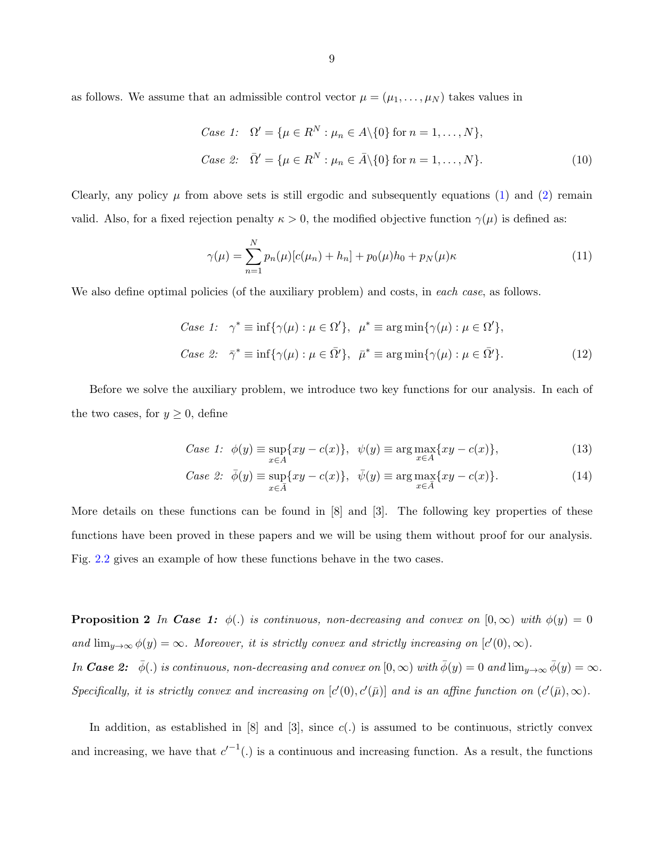<span id="page-16-0"></span>as follows. We assume that an admissible control vector  $\mu = (\mu_1, \dots, \mu_N)$  takes values in

Case 1: 
$$
\Omega' = \{ \mu \in R^N : \mu_n \in A \setminus \{0\} \text{ for } n = 1, ..., N \},
$$
  
Case 2: 
$$
\overline{\Omega}' = \{ \mu \in R^N : \mu_n \in \overline{A} \setminus \{0\} \text{ for } n = 1, ..., N \}.
$$
 (10)

Clearly, any policy  $\mu$  from above sets is still ergodic and subsequently equations [\(1\)](#page-14-0) and [\(2\)](#page-14-0) remain valid. Also, for a fixed rejection penalty  $\kappa > 0$ , the modified objective function  $\gamma(\mu)$  is defined as:

$$
\gamma(\mu) = \sum_{n=1}^{N} p_n(\mu) [c(\mu_n) + h_n] + p_0(\mu) h_0 + p_N(\mu) \kappa
$$
\n(11)

We also define optimal policies (of the auxiliary problem) and costs, in each case, as follows.

Case 1: 
$$
\gamma^* \equiv \inf \{ \gamma(\mu) : \mu \in \Omega' \}, \quad \mu^* \equiv \arg \min \{ \gamma(\mu) : \mu \in \Omega' \},
$$
  
\nCase 2:  $\bar{\gamma}^* \equiv \inf \{ \gamma(\mu) : \mu \in \bar{\Omega'} \}, \quad \bar{\mu}^* \equiv \arg \min \{ \gamma(\mu) : \mu \in \bar{\Omega'} \}.$  (12)

Before we solve the auxiliary problem, we introduce two key functions for our analysis. In each of the two cases, for  $y \geq 0$ , define

Case 1: 
$$
\phi(y) \equiv \sup_{x \in A} \{xy - c(x)\}, \quad \psi(y) \equiv \arg \max_{x \in A} \{xy - c(x)\},
$$
 (13)

Case 2: 
$$
\bar{\phi}(y) \equiv \sup_{x \in \bar{A}} \{xy - c(x)\}, \quad \bar{\psi}(y) \equiv \arg \max_{x \in \bar{A}} \{xy - c(x)\}.
$$
 (14)

More details on these functions can be found in  $[8]$  and  $[3]$ . The following key properties of these functions have been proved in these papers and we will be using them without proof for our analysis. Fig. [2.2](#page-17-0) gives an example of how these functions behave in the two cases.

**Proposition 2** In **Case 1:**  $\phi(.)$  is continuous, non-decreasing and convex on  $[0, \infty)$  with  $\phi(y) = 0$ and  $\lim_{y\to\infty}\phi(y)=\infty$ . Moreover, it is strictly convex and strictly increasing on  $[c'(0),\infty)$ .

In **Case 2:**  $\bar{\phi}$ (.) is continuous, non-decreasing and convex on  $[0, \infty)$  with  $\bar{\phi}(y) = 0$  and  $\lim_{y \to \infty} \bar{\phi}(y) = \infty$ . Specifically, it is strictly convex and increasing on  $[c'(0), c'(\bar{\mu})]$  and is an affine function on  $(c'(\bar{\mu}), \infty)$ .

In addition, as established in  $[8]$  and  $[3]$ , since  $c(.)$  is assumed to be continuous, strictly convex and increasing, we have that  $c'^{-1}(.)$  is a continuous and increasing function. As a result, the functions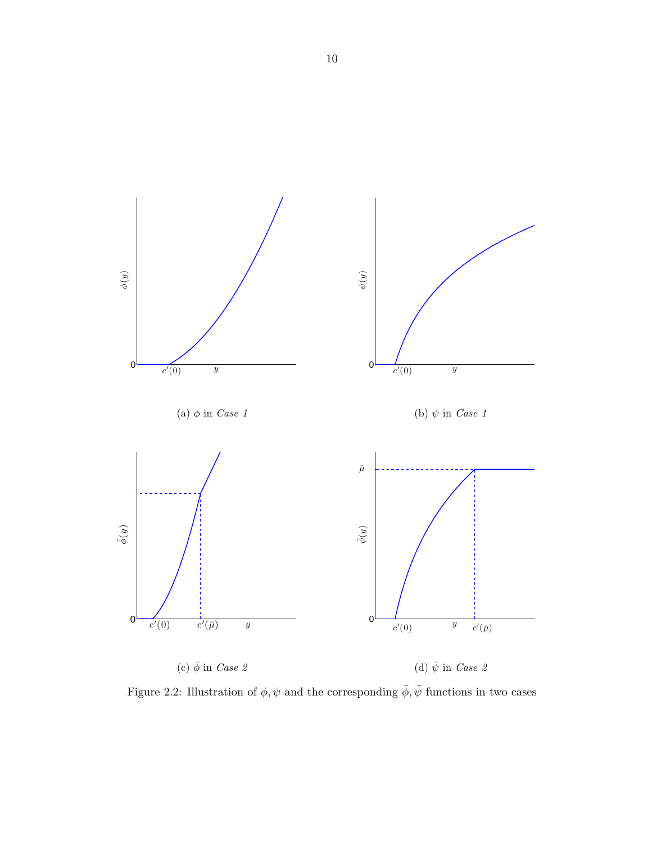<span id="page-17-0"></span>

Figure 2.2: Illustration of  $\phi, \psi$  and the corresponding  $\bar{\phi}, \bar{\psi}$  functions in two cases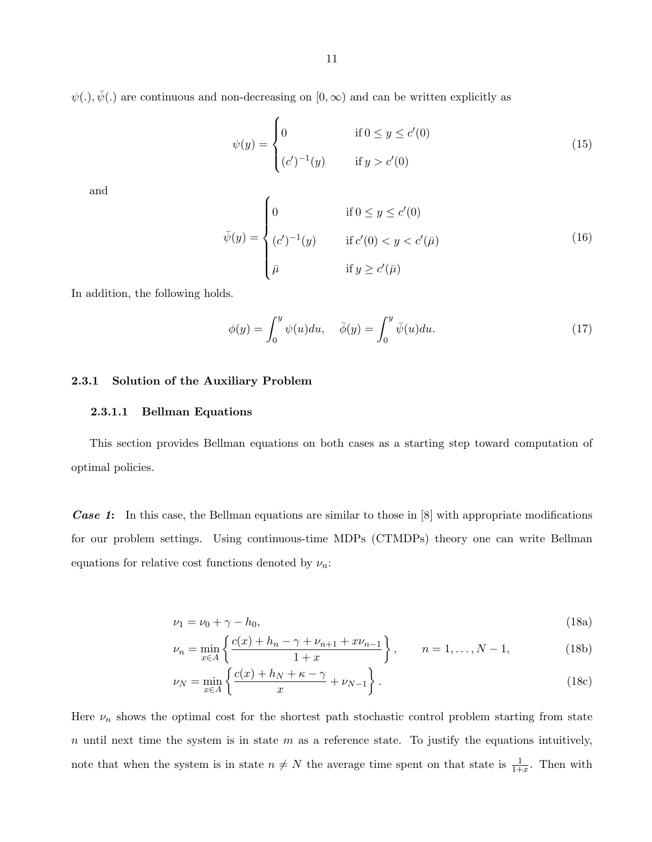<span id="page-18-0"></span> $\psi(.)$ ,  $\bar{\psi}(.)$  are continuous and non-decreasing on  $[0, \infty)$  and can be written explicitly as

$$
\psi(y) = \begin{cases}\n0 & \text{if } 0 \le y \le c'(0) \\
(c')^{-1}(y) & \text{if } y > c'(0)\n\end{cases}
$$
\n(15)

and

$$
\bar{\psi}(y) = \begin{cases}\n0 & \text{if } 0 \le y \le c'(0) \\
(c')^{-1}(y) & \text{if } c'(0) < y < c'(\bar{\mu}) \\
\bar{\mu} & \text{if } y \ge c'(\bar{\mu})\n\end{cases}
$$
\n(16)

In addition, the following holds.

$$
\phi(y) = \int_0^y \psi(u) du, \quad \bar{\phi}(y) = \int_0^y \bar{\psi}(u) du.
$$
\n(17)

#### 2.3.1 Solution of the Auxiliary Problem

#### 2.3.1.1 Bellman Equations

This section provides Bellman equations on both cases as a starting step toward computation of optimal policies.

**Case 1:** In this case, the Bellman equations are similar to those in [8] with appropriate modifications for our problem settings. Using continuous-time MDPs (CTMDPs) theory one can write Bellman equations for relative cost functions denoted by  $\nu_n$ :

$$
\nu_1 = \nu_0 + \gamma - h_0,\tag{18a}
$$

$$
\nu_n = \min_{x \in A} \left\{ \frac{c(x) + h_n - \gamma + \nu_{n+1} + x\nu_{n-1}}{1+x} \right\}, \qquad n = 1, \dots, N-1,
$$
 (18b)

$$
\nu_N = \min_{x \in A} \left\{ \frac{c(x) + h_N + \kappa - \gamma}{x} + \nu_{N-1} \right\}.
$$
\n(18c)

Here  $\nu_n$  shows the optimal cost for the shortest path stochastic control problem starting from state n until next time the system is in state  $m$  as a reference state. To justify the equations intuitively, note that when the system is in state  $n \neq N$  the average time spent on that state is  $\frac{1}{1+x}$ . Then with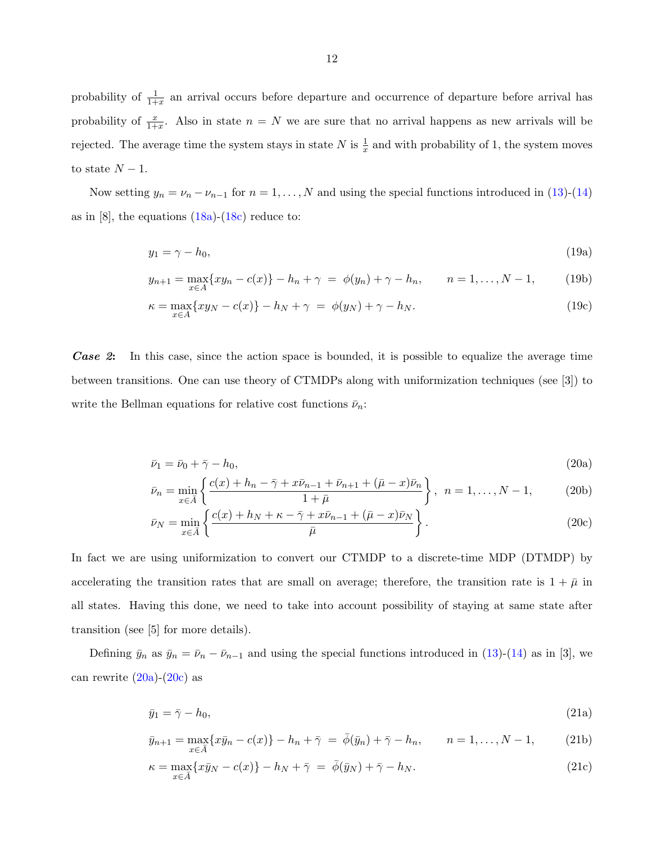<span id="page-19-0"></span>probability of  $\frac{1}{1+x}$  an arrival occurs before departure and occurrence of departure before arrival has probability of  $\frac{x}{1+x}$ . Also in state  $n = N$  we are sure that no arrival happens as new arrivals will be rejected. The average time the system stays in state N is  $\frac{1}{x}$  and with probability of 1, the system moves to state  $N-1$ .

Now setting  $y_n = \nu_n - \nu_{n-1}$  for  $n = 1, ..., N$  and using the special functions introduced in [\(13\)](#page-16-0)-[\(14\)](#page-16-0) as in [8], the equations  $(18a)-(18c)$  $(18a)-(18c)$  $(18a)-(18c)$  reduce to:

$$
y_1 = \gamma - h_0,\tag{19a}
$$

$$
y_{n+1} = \max_{x \in A} \{ xy_n - c(x) \} - h_n + \gamma = \phi(y_n) + \gamma - h_n, \qquad n = 1, ..., N - 1,
$$
 (19b)

$$
\kappa = \max_{x \in A} \{ xy_N - c(x) \} - h_N + \gamma = \phi(y_N) + \gamma - h_N.
$$
 (19c)

Case 2: In this case, since the action space is bounded, it is possible to equalize the average time between transitions. One can use theory of CTMDPs along with uniformization techniques (see [3]) to write the Bellman equations for relative cost functions  $\bar{\nu}_n$ :

$$
\bar{\nu}_1 = \bar{\nu}_0 + \bar{\gamma} - h_0,\tag{20a}
$$

$$
\bar{\nu}_n = \min_{x \in \bar{A}} \left\{ \frac{c(x) + h_n - \bar{\gamma} + x\bar{\nu}_{n-1} + \bar{\nu}_{n+1} + (\bar{\mu} - x)\bar{\nu}_n}{1 + \bar{\mu}} \right\}, \quad n = 1, \dots, N - 1,
$$
 (20b)

$$
\bar{\nu}_N = \min_{x \in \bar{A}} \left\{ \frac{c(x) + h_N + \kappa - \bar{\gamma} + x\bar{\nu}_{n-1} + (\bar{\mu} - x)\bar{\nu}_N}{\bar{\mu}} \right\}.
$$
\n(20c)

In fact we are using uniformization to convert our CTMDP to a discrete-time MDP (DTMDP) by accelerating the transition rates that are small on average; therefore, the transition rate is  $1 + \bar{\mu}$  in all states. Having this done, we need to take into account possibility of staying at same state after transition (see [5] for more details).

Defining  $\bar{y}_n$  as  $\bar{y}_n = \bar{\nu}_n - \bar{\nu}_{n-1}$  and using the special functions introduced in [\(13\)](#page-16-0)-[\(14\)](#page-16-0) as in [3], we can rewrite  $(20a)-(20c)$  as

$$
\bar{y}_1 = \bar{\gamma} - h_0,\tag{21a}
$$

$$
\bar{y}_{n+1} = \max_{x \in \bar{A}} \{ x \bar{y}_n - c(x) \} - h_n + \bar{\gamma} = \bar{\phi}(\bar{y}_n) + \bar{\gamma} - h_n, \qquad n = 1, \dots, N - 1,
$$
 (21b)

$$
\kappa = \max_{x \in \overline{A}} \{ x \overline{y}_N - c(x) \} - h_N + \overline{\gamma} = \overline{\phi}(\overline{y}_N) + \overline{\gamma} - h_N. \tag{21c}
$$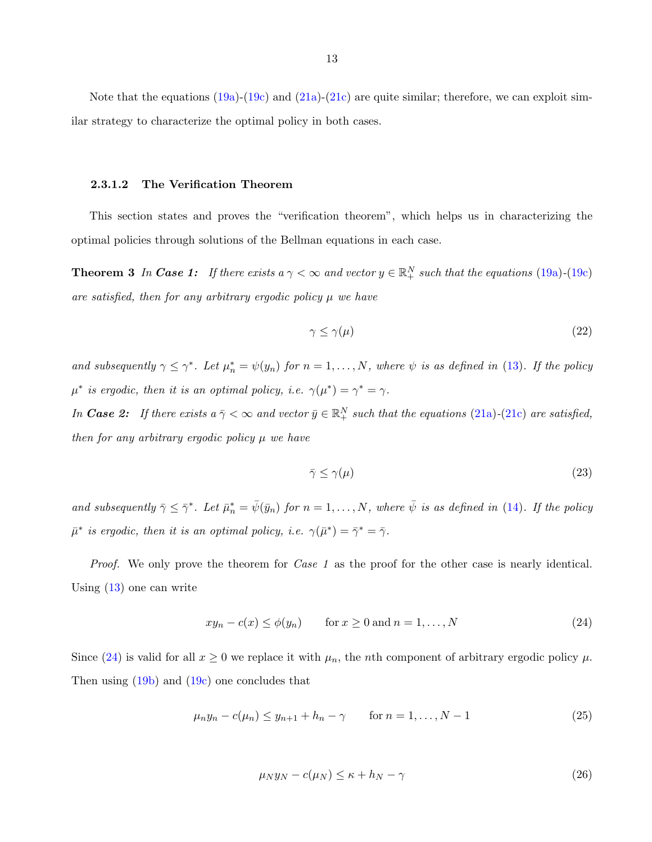<span id="page-20-0"></span>Note that the equations  $(19a)-(19c)$  $(19a)-(19c)$  $(19a)-(19c)$  and  $(21a)-(21c)$  $(21a)-(21c)$  $(21a)-(21c)$  are quite similar; therefore, we can exploit similar strategy to characterize the optimal policy in both cases.

#### 2.3.1.2 The Verification Theorem

This section states and proves the "verification theorem", which helps us in characterizing the optimal policies through solutions of the Bellman equations in each case.

**Theorem 3** In Case 1: If there exists a  $\gamma < \infty$  and vector  $y \in \mathbb{R}^N_+$  such that the equations [\(19a\)](#page-19-0)-[\(19c\)](#page-19-0) are satisfied, then for any arbitrary ergodic policy  $\mu$  we have

$$
\gamma \le \gamma(\mu) \tag{22}
$$

and subsequently  $\gamma \leq \gamma^*$ . Let  $\mu_n^* = \psi(y_n)$  for  $n = 1, ..., N$ , where  $\psi$  is as defined in [\(13\)](#page-16-0). If the policy  $\mu^*$  is ergodic, then it is an optimal policy, i.e.  $\gamma(\mu^*) = \gamma^* = \gamma$ .

In **Case 2:** If there exists  $a \bar{\gamma} < \infty$  and vector  $\bar{y} \in \mathbb{R}^N_+$  such that the equations [\(21a\)](#page-19-0)-[\(21c\)](#page-19-0) are satisfied, then for any arbitrary ergodic policy  $\mu$  we have

$$
\bar{\gamma} \le \gamma(\mu) \tag{23}
$$

and subsequently  $\bar{\gamma} \leq \bar{\gamma}^*$ . Let  $\bar{\mu}_n^* = \bar{\psi}(\bar{y}_n)$  for  $n = 1, ..., N$ , where  $\bar{\psi}$  is as defined in [\(14\)](#page-16-0). If the policy  $\bar{\mu}^*$  is ergodic, then it is an optimal policy, i.e.  $\gamma(\bar{\mu}^*) = \bar{\gamma}^* = \bar{\gamma}$ .

Proof. We only prove the theorem for *Case 1* as the proof for the other case is nearly identical. Using [\(13\)](#page-16-0) one can write

$$
xy_n - c(x) \le \phi(y_n) \qquad \text{for } x \ge 0 \text{ and } n = 1, \dots, N \tag{24}
$$

Since (24) is valid for all  $x \ge 0$  we replace it with  $\mu_n$ , the *n*th component of arbitrary ergodic policy  $\mu$ . Then using [\(19b\)](#page-19-0) and [\(19c\)](#page-19-0) one concludes that

$$
\mu_n y_n - c(\mu_n) \le y_{n+1} + h_n - \gamma \qquad \text{for } n = 1, ..., N - 1 \tag{25}
$$

$$
\mu_N y_N - c(\mu_N) \le \kappa + h_N - \gamma \tag{26}
$$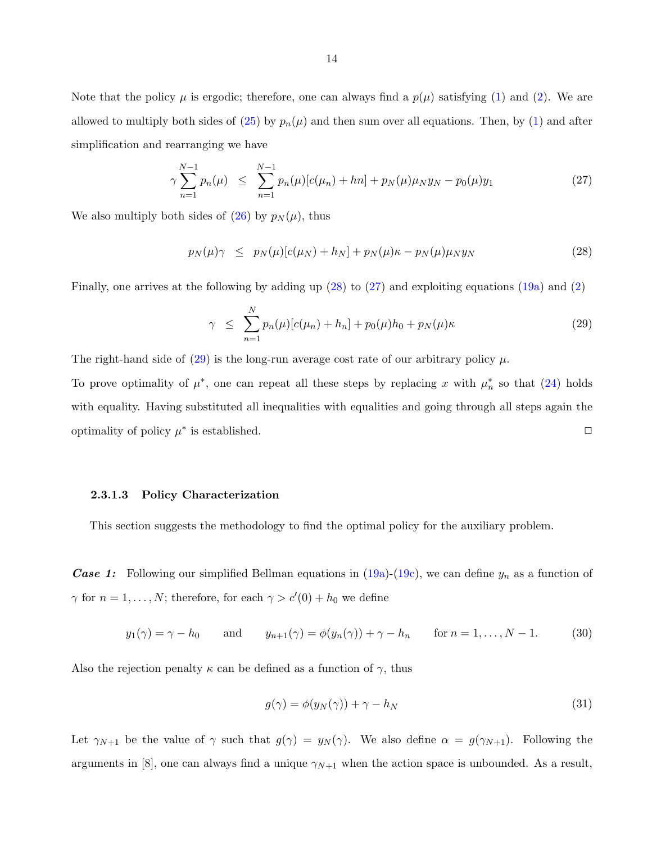<span id="page-21-0"></span>Note that the policy  $\mu$  is ergodic; therefore, one can always find a  $p(\mu)$  satisfying [\(1\)](#page-14-0) and [\(2\)](#page-14-0). We are allowed to multiply both sides of  $(25)$  by  $p_n(\mu)$  and then sum over all equations. Then, by  $(1)$  and after simplification and rearranging we have

$$
\gamma \sum_{n=1}^{N-1} p_n(\mu) \le \sum_{n=1}^{N-1} p_n(\mu) [c(\mu_n) + hn] + p_N(\mu) \mu_N y_N - p_0(\mu) y_1 \tag{27}
$$

We also multiply both sides of [\(26\)](#page-20-0) by  $p_N(\mu)$ , thus

$$
p_N(\mu)\gamma \le p_N(\mu)[c(\mu_N) + h_N] + p_N(\mu)\kappa - p_N(\mu)\mu_N y_N \tag{28}
$$

Finally, one arrives at the following by adding up (28) to (27) and exploiting equations [\(19a\)](#page-19-0) and [\(2\)](#page-14-0)

$$
\gamma \leq \sum_{n=1}^{N} p_n(\mu) [c(\mu_n) + h_n] + p_0(\mu) h_0 + p_N(\mu) \kappa \tag{29}
$$

The right-hand side of  $(29)$  is the long-run average cost rate of our arbitrary policy  $\mu$ .

To prove optimality of  $\mu^*$ , one can repeat all these steps by replacing x with  $\mu_n^*$  so that [\(24\)](#page-20-0) holds with equality. Having substituted all inequalities with equalities and going through all steps again the optimality of policy  $\mu^*$  is established.  $\Box$ 

#### 2.3.1.3 Policy Characterization

This section suggests the methodology to find the optimal policy for the auxiliary problem.

**Case 1:** Following our simplified Bellman equations in  $(19a)-(19c)$  $(19a)-(19c)$  $(19a)-(19c)$ , we can define  $y_n$  as a function of  $\gamma$  for  $n = 1, ..., N$ ; therefore, for each  $\gamma > c'(0) + h_0$  we define

$$
y_1(\gamma) = \gamma - h_0 \quad \text{and} \quad y_{n+1}(\gamma) = \phi(y_n(\gamma)) + \gamma - h_n \quad \text{for } n = 1, \dots, N-1.
$$
 (30)

Also the rejection penalty  $\kappa$  can be defined as a function of  $\gamma$ , thus

$$
g(\gamma) = \phi(y_N(\gamma)) + \gamma - h_N \tag{31}
$$

Let  $\gamma_{N+1}$  be the value of  $\gamma$  such that  $g(\gamma) = y_N(\gamma)$ . We also define  $\alpha = g(\gamma_{N+1})$ . Following the arguments in [8], one can always find a unique  $\gamma_{N+1}$  when the action space is unbounded. As a result,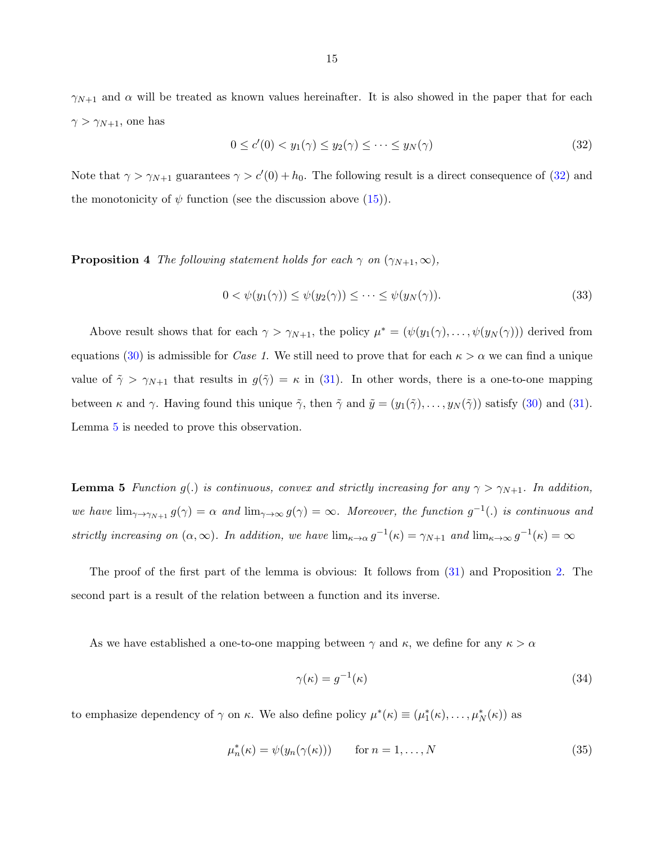<span id="page-22-0"></span> $\gamma_{N+1}$  and  $\alpha$  will be treated as known values hereinafter. It is also showed in the paper that for each  $\gamma > \gamma_{N+1}$ , one has

$$
0 \le c'(0) < y_1(\gamma) \le y_2(\gamma) \le \dots \le y_N(\gamma) \tag{32}
$$

Note that  $\gamma > \gamma_{N+1}$  guarantees  $\gamma > c'(0) + h_0$ . The following result is a direct consequence of (32) and the monotonicity of  $\psi$  function (see the discussion above  $(15)$ ).

**Proposition 4** The following statement holds for each  $\gamma$  on  $(\gamma_{N+1}, \infty)$ ,

$$
0 < \psi(y_1(\gamma)) \le \psi(y_2(\gamma)) \le \dots \le \psi(y_N(\gamma)).\tag{33}
$$

Above result shows that for each  $\gamma > \gamma_{N+1}$ , the policy  $\mu^* = (\psi(y_1(\gamma), \ldots, \psi(y_N(\gamma)))$  derived from equations [\(30\)](#page-21-0) is admissible for *Case 1*. We still need to prove that for each  $\kappa > \alpha$  we can find a unique value of  $\tilde{\gamma} > \gamma_{N+1}$  that results in  $g(\tilde{\gamma}) = \kappa$  in [\(31\)](#page-21-0). In other words, there is a one-to-one mapping between  $\kappa$  and  $\gamma$ . Having found this unique  $\tilde{\gamma}$ , then  $\tilde{\gamma}$  and  $\tilde{y} = (y_1(\tilde{\gamma}), \ldots, y_N(\tilde{\gamma}))$  satisfy [\(30\)](#page-21-0) and [\(31\)](#page-21-0). Lemma 5 is needed to prove this observation.

**Lemma 5** Function g(.) is continuous, convex and strictly increasing for any  $\gamma > \gamma_{N+1}$ . In addition, we have  $\lim_{\gamma \to \gamma_{N+1}} g(\gamma) = \alpha$  and  $\lim_{\gamma \to \infty} g(\gamma) = \infty$ . Moreover, the function  $g^{-1}(.)$  is continuous and strictly increasing on  $(\alpha, \infty)$ . In addition, we have  $\lim_{\kappa \to \alpha} g^{-1}(\kappa) = \gamma_{N+1}$  and  $\lim_{\kappa \to \infty} g^{-1}(\kappa) = \infty$ 

The proof of the first part of the lemma is obvious: It follows from [\(31\)](#page-21-0) and Proposition [2.](#page-16-0) The second part is a result of the relation between a function and its inverse.

As we have established a one-to-one mapping between  $\gamma$  and  $\kappa$ , we define for any  $\kappa > \alpha$ 

$$
\gamma(\kappa) = g^{-1}(\kappa) \tag{34}
$$

to emphasize dependency of  $\gamma$  on  $\kappa$ . We also define policy  $\mu^*(\kappa) \equiv (\mu_1^*(\kappa), \dots, \mu_N^*(\kappa))$  as

$$
\mu_n^*(\kappa) = \psi(y_n(\gamma(\kappa))) \qquad \text{for } n = 1, \dots, N \tag{35}
$$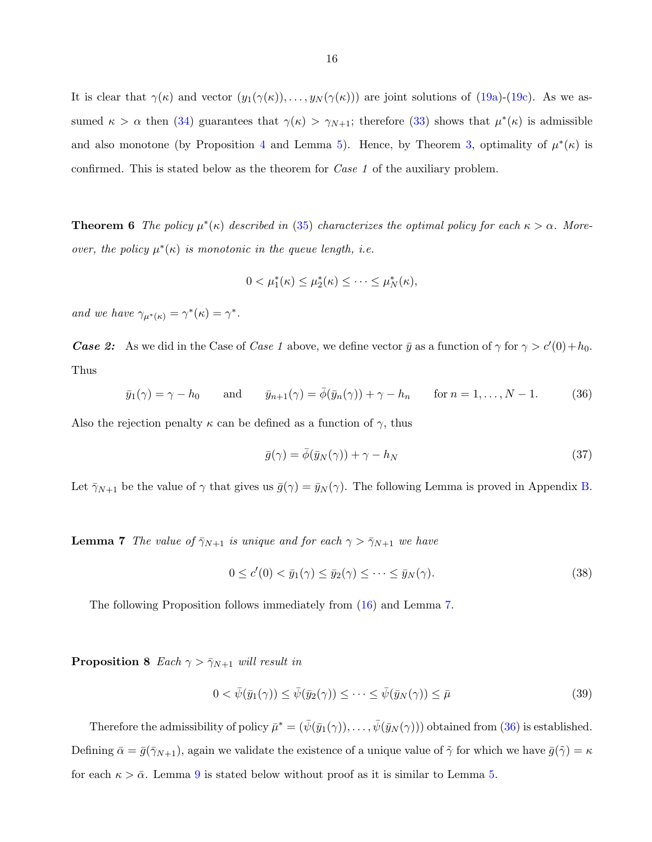<span id="page-23-0"></span>It is clear that  $\gamma(\kappa)$  and vector  $(y_1(\gamma(\kappa)), \ldots, y_N(\gamma(\kappa)))$  are joint solutions of  $(19a)-(19c)$  $(19a)-(19c)$  $(19a)-(19c)$ . As we assumed  $\kappa > \alpha$  then [\(34\)](#page-22-0) guarantees that  $\gamma(\kappa) > \gamma_{N+1}$ ; therefore [\(33\)](#page-22-0) shows that  $\mu^*(\kappa)$  is admissible and also monotone (by Proposition [4](#page-22-0) and Lemma [5\)](#page-22-0). Hence, by Theorem [3,](#page-20-0) optimality of  $\mu^*(\kappa)$  is confirmed. This is stated below as the theorem for Case 1 of the auxiliary problem.

**Theorem 6** The policy  $\mu^*(\kappa)$  described in [\(35\)](#page-22-0) characterizes the optimal policy for each  $\kappa > \alpha$ . Moreover, the policy  $\mu^*(\kappa)$  is monotonic in the queue length, i.e.

$$
0 < \mu_1^*(\kappa) \le \mu_2^*(\kappa) \le \cdots \le \mu_N^*(\kappa),
$$

and we have  $\gamma_{\mu^*(\kappa)} = \gamma^*(\kappa) = \gamma^*.$ 

**Case 2:** As we did in the Case of Case 1 above, we define vector  $\bar{y}$  as a function of  $\gamma$  for  $\gamma > c'(0) + h_0$ . Thus

$$
\bar{y}_1(\gamma) = \gamma - h_0 \quad \text{and} \quad \bar{y}_{n+1}(\gamma) = \bar{\phi}(\bar{y}_n(\gamma)) + \gamma - h_n \quad \text{for } n = 1, \dots, N-1. \tag{36}
$$

Also the rejection penalty  $\kappa$  can be defined as a function of  $\gamma$ , thus

$$
\bar{g}(\gamma) = \bar{\phi}(\bar{y}_N(\gamma)) + \gamma - h_N \tag{37}
$$

Let  $\bar{\gamma}_{N+1}$  be the value of  $\gamma$  that gives us  $\bar{g}(\gamma) = \bar{y}_N(\gamma)$ . The following Lemma is proved in Appendix [B.](#page-32-0)

**Lemma 7** The value of  $\bar{\gamma}_{N+1}$  is unique and for each  $\gamma > \bar{\gamma}_{N+1}$  we have

$$
0 \le c'(0) < \bar{y}_1(\gamma) \le \bar{y}_2(\gamma) \le \dots \le \bar{y}_N(\gamma). \tag{38}
$$

The following Proposition follows immediately from [\(16\)](#page-18-0) and Lemma 7.

**Proposition 8** Each  $\gamma > \bar{\gamma}_{N+1}$  will result in

$$
0 < \bar{\psi}(\bar{y}_1(\gamma)) \le \bar{\psi}(\bar{y}_2(\gamma)) \le \dots \le \bar{\psi}(\bar{y}_N(\gamma)) \le \bar{\mu} \tag{39}
$$

Therefore the admissibility of policy  $\bar{\mu}^* = (\bar{\psi}(\bar{y}_1(\gamma)), \ldots, \bar{\psi}(\bar{y}_N(\gamma)))$  obtained from (36) is established. Defining  $\bar{\alpha} = \bar{g}(\bar{\gamma}_{N+1})$ , again we validate the existence of a unique value of  $\tilde{\gamma}$  for which we have  $\bar{g}(\tilde{\gamma}) = \kappa$ for each  $\kappa > \bar{\alpha}$ . Lemma 9 is stated below without proof as it is similar to Lemma [5.](#page-22-0)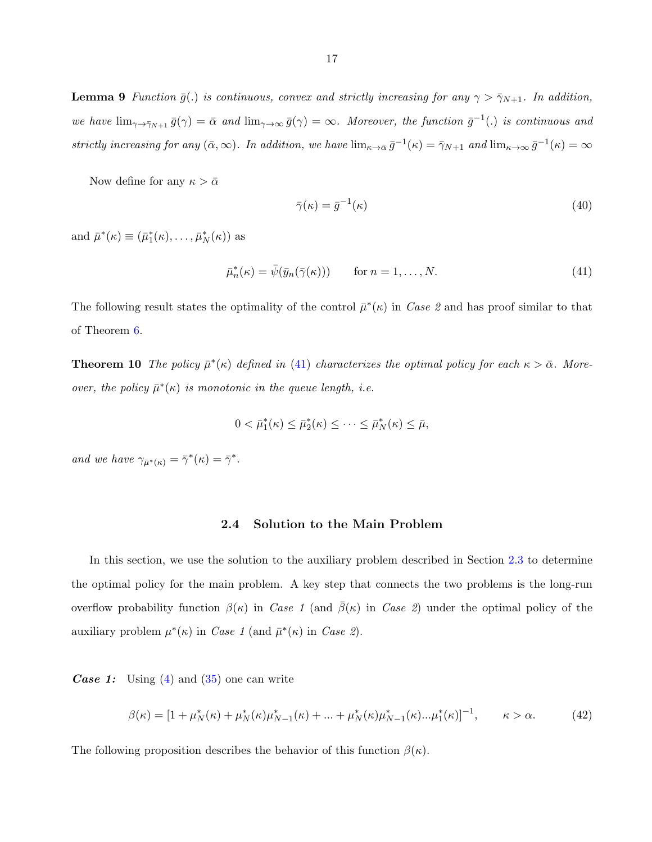<span id="page-24-0"></span>**Lemma 9** Function  $\bar{g}$ (.) is continuous, convex and strictly increasing for any  $\gamma > \bar{\gamma}_{N+1}$ . In addition, we have  $\lim_{\gamma \to \bar{\gamma}_{N+1}} \bar{g}(\gamma) = \bar{\alpha}$  and  $\lim_{\gamma \to \infty} \bar{g}(\gamma) = \infty$ . Moreover, the function  $\bar{g}^{-1}(.)$  is continuous and strictly increasing for any  $(\bar{\alpha}, \infty)$ . In addition, we have  $\lim_{\kappa \to \bar{\alpha}} \bar{g}^{-1}(\kappa) = \bar{\gamma}_{N+1}$  and  $\lim_{\kappa \to \infty} \bar{g}^{-1}(\kappa) = \infty$ 

Now define for any  $\kappa > \bar{\alpha}$ 

$$
\bar{\gamma}(\kappa) = \bar{g}^{-1}(\kappa) \tag{40}
$$

and  $\bar{\mu}^*(\kappa) \equiv (\bar{\mu}_1^*(\kappa), \ldots, \bar{\mu}_N^*(\kappa))$  as

$$
\bar{\mu}_n^*(\kappa) = \bar{\psi}(\bar{y}_n(\bar{\gamma}(\kappa))) \qquad \text{for } n = 1, \dots, N. \tag{41}
$$

The following result states the optimality of the control  $\bar{\mu}^*(\kappa)$  in Case 2 and has proof similar to that of Theorem [6.](#page-23-0)

**Theorem 10** The policy  $\bar{\mu}^*(\kappa)$  defined in (41) characterizes the optimal policy for each  $\kappa > \bar{\alpha}$ . Moreover, the policy  $\bar{\mu}^*(\kappa)$  is monotonic in the queue length, i.e.

$$
0 < \bar{\mu}_1^*(\kappa) \le \bar{\mu}_2^*(\kappa) \le \cdots \le \bar{\mu}_N^*(\kappa) \le \bar{\mu},
$$

and we have  $\gamma_{\bar{\mu}^*(\kappa)} = \bar{\gamma}^*(\kappa) = \bar{\gamma}^*.$ 

#### 2.4 Solution to the Main Problem

In this section, we use the solution to the auxiliary problem described in Section [2.3](#page-15-0) to determine the optimal policy for the main problem. A key step that connects the two problems is the long-run overflow probability function  $\beta(\kappa)$  in Case 1 (and  $\beta(\kappa)$  in Case 2) under the optimal policy of the auxiliary problem  $\mu^*(\kappa)$  in Case 1 (and  $\bar{\mu}^*(\kappa)$  in Case 2).

**Case 1:** Using  $(4)$  and  $(35)$  one can write

$$
\beta(\kappa) = [1 + \mu_N^*(\kappa) + \mu_N^*(\kappa)\mu_{N-1}^*(\kappa) + \dots + \mu_N^*(\kappa)\mu_{N-1}^*(\kappa)\dots\mu_1^*(\kappa)]^{-1}, \qquad \kappa > \alpha. \tag{42}
$$

The following proposition describes the behavior of this function  $\beta(\kappa)$ .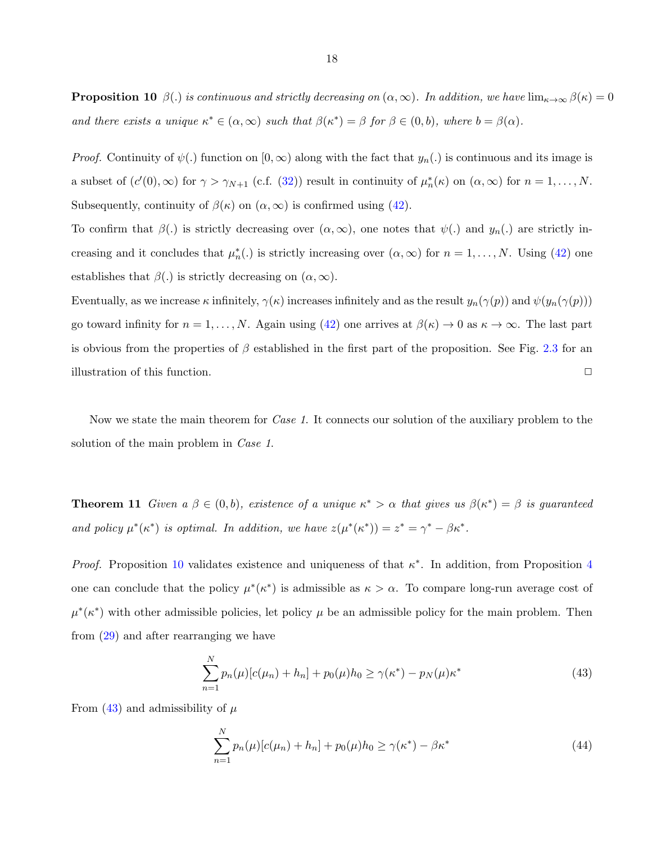<span id="page-25-0"></span>**Proposition 10**  $\beta(.)$  is continuous and strictly decreasing on  $(\alpha, \infty)$ . In addition, we have  $\lim_{\kappa \to \infty} \beta(\kappa) = 0$ and there exists a unique  $\kappa^* \in (\alpha, \infty)$  such that  $\beta(\kappa^*) = \beta$  for  $\beta \in (0, b)$ , where  $b = \beta(\alpha)$ .

*Proof.* Continuity of  $\psi(.)$  function on  $[0, \infty)$  along with the fact that  $y_n(.)$  is continuous and its image is a subset of  $(c'(0), \infty)$  for  $\gamma > \gamma_{N+1}$  (c.f. [\(32\)](#page-22-0)) result in continuity of  $\mu_n^*(\kappa)$  on  $(\alpha, \infty)$  for  $n = 1, ..., N$ . Subsequently, continuity of  $\beta(\kappa)$  on  $(\alpha,\infty)$  is confirmed using [\(42\)](#page-24-0).

To confirm that  $\beta(.)$  is strictly decreasing over  $(\alpha, \infty)$ , one notes that  $\psi(.)$  and  $y_n(.)$  are strictly increasing and it concludes that  $\mu_n^*(.)$  is strictly increasing over  $(\alpha, \infty)$  for  $n = 1, ..., N$ . Using [\(42\)](#page-24-0) one establishes that  $\beta(.)$  is strictly decreasing on  $(\alpha, \infty)$ .

Eventually, as we increase  $\kappa$  infinitely,  $\gamma(\kappa)$  increases infinitely and as the result  $y_n(\gamma(p))$  and  $\psi(y_n(\gamma(p)))$ go toward infinity for  $n = 1, ..., N$ . Again using [\(42\)](#page-24-0) one arrives at  $\beta(\kappa) \to 0$  as  $\kappa \to \infty$ . The last part is obvious from the properties of  $\beta$  established in the first part of the proposition. See Fig. [2.3](#page-26-0) for an illustration of this function.  $\Box$ 

Now we state the main theorem for *Case 1*. It connects our solution of the auxiliary problem to the solution of the main problem in *Case 1*.

**Theorem 11** Given  $a \beta \in (0, b)$ , existence of a unique  $\kappa^* > \alpha$  that gives us  $\beta(\kappa^*) = \beta$  is guaranteed and policy  $\mu^*(\kappa^*)$  is optimal. In addition, we have  $z(\mu^*(\kappa^*)) = z^* = \gamma^* - \beta \kappa^*$ .

Proof. Proposition [10](#page-24-0) validates existence and uniqueness of that  $\kappa^*$ . In addition, from Proposition [4](#page-22-0) one can conclude that the policy  $\mu^*(\kappa^*)$  is admissible as  $\kappa > \alpha$ . To compare long-run average cost of  $\mu^*(\kappa^*)$  with other admissible policies, let policy  $\mu$  be an admissible policy for the main problem. Then from [\(29\)](#page-21-0) and after rearranging we have

$$
\sum_{n=1}^{N} p_n(\mu) [c(\mu_n) + h_n] + p_0(\mu) h_0 \ge \gamma(\kappa^*) - p_N(\mu) \kappa^*
$$
\n(43)

From (43) and admissibility of  $\mu$ 

$$
\sum_{n=1}^{N} p_n(\mu) [c(\mu_n) + h_n] + p_0(\mu) h_0 \ge \gamma(\kappa^*) - \beta \kappa^* \tag{44}
$$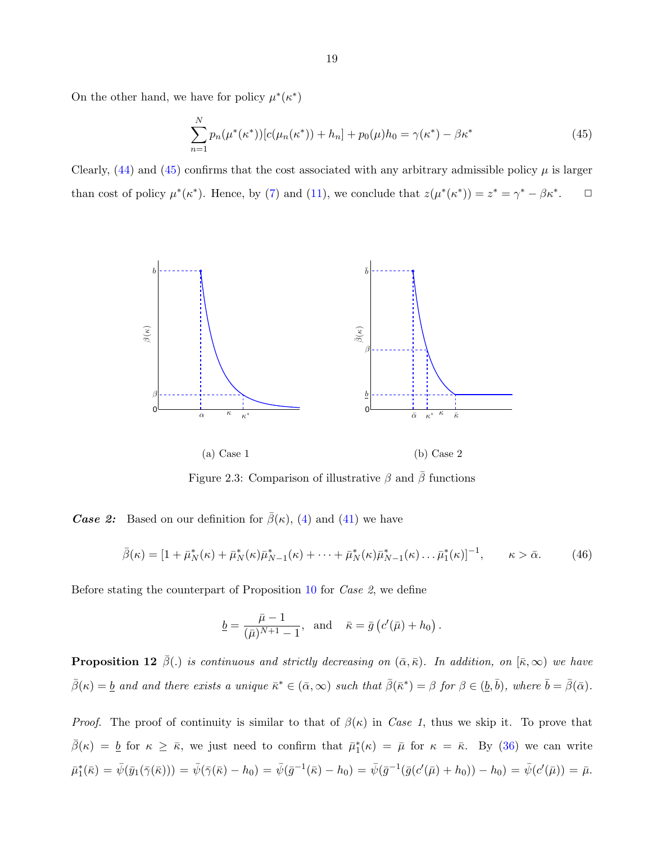<span id="page-26-0"></span>On the other hand, we have for policy  $\mu^*(\kappa^*)$ 

$$
\sum_{n=1}^{N} p_n(\mu^*(\kappa^*)) [c(\mu_n(\kappa^*)) + h_n] + p_0(\mu)h_0 = \gamma(\kappa^*) - \beta \kappa^*
$$
\n(45)

Clearly,  $(44)$  and  $(45)$  confirms that the cost associated with any arbitrary admissible policy  $\mu$  is larger than cost of policy  $\mu^*(\kappa^*)$ . Hence, by [\(7\)](#page-14-0) and [\(11\)](#page-16-0), we conclude that  $z(\mu^*(\kappa^*)) = z^* = \gamma^* - \beta \kappa^*$  $\Box$ 



Figure 2.3: Comparison of illustrative  $\beta$  and  $\overline{\beta}$  functions

**Case 2:** Based on our definition for  $\bar{\beta}(\kappa)$ , [\(4\)](#page-14-0) and [\(41\)](#page-24-0) we have

(a) Case 1

$$
\bar{\beta}(\kappa) = [1 + \bar{\mu}_N^*(\kappa) + \bar{\mu}_N^*(\kappa)\bar{\mu}_{N-1}^*(\kappa) + \dots + \bar{\mu}_N^*(\kappa)\bar{\mu}_{N-1}^*(\kappa) \dots \bar{\mu}_1^*(\kappa)]^{-1}, \qquad \kappa > \bar{\alpha}.
$$
 (46)

(b) Case 2

Before stating the counterpart of Proposition [10](#page-24-0) for Case 2, we define

$$
\underline{b} = \frac{\bar{\mu} - 1}{(\bar{\mu})^{N+1} - 1}
$$
, and  $\bar{\kappa} = \bar{g} (c'(\bar{\mu}) + h_0)$ .

**Proposition 12**  $\bar{\beta}$ (.) is continuous and strictly decreasing on  $(\bar{\alpha}, \bar{\kappa})$ . In addition, on  $[\bar{\kappa}, \infty)$  we have  $\bar{\beta}(\kappa) = \underline{b}$  and and there exists a unique  $\bar{\kappa}^* \in (\bar{\alpha}, \infty)$  such that  $\bar{\beta}(\bar{\kappa}^*) = \beta$  for  $\beta \in (\underline{b}, \bar{b})$ , where  $\bar{b} = \bar{\beta}(\bar{\alpha})$ .

*Proof.* The proof of continuity is similar to that of  $\beta(\kappa)$  in Case 1, thus we skip it. To prove that  $\bar{\beta}(\kappa) = b$  for  $\kappa \geq \bar{\kappa}$ , we just need to confirm that  $\bar{\mu}_1^*(\kappa) = \bar{\mu}$  for  $\kappa = \bar{\kappa}$ . By [\(36\)](#page-23-0) we can write  $\bar{\mu}_1^*(\bar{\kappa}) = \bar{\psi}(\bar{y}_1(\bar{\gamma}(\bar{\kappa}))) = \bar{\psi}(\bar{\gamma}(\bar{\kappa}) - h_0) = \bar{\psi}(\bar{g}^{-1}(\bar{\kappa}) - h_0) = \bar{\psi}(\bar{g}^{-1}(\bar{g}(c'(\bar{\mu}) + h_0)) - h_0) = \bar{\psi}(c'(\bar{\mu})) = \bar{\mu}.$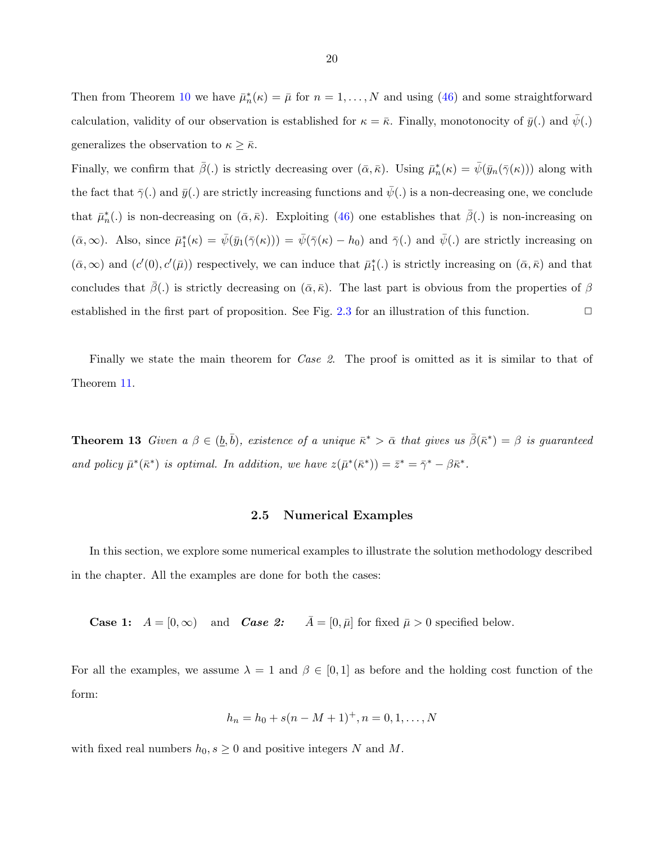<span id="page-27-0"></span>Then from Theorem [10](#page-24-0) we have  $\bar{\mu}_n^*(\kappa) = \bar{\mu}$  for  $n = 1, ..., N$  and using [\(46\)](#page-26-0) and some straightforward calculation, validity of our observation is established for  $\kappa = \bar{\kappa}$ . Finally, monotonocity of  $\bar{y}(.)$  and  $\psi(.)$ generalizes the observation to  $\kappa \geq \bar{\kappa}$ .

Finally, we confirm that  $\bar{\beta}$ . is strictly decreasing over  $(\bar{\alpha}, \bar{\kappa})$ . Using  $\bar{\mu}_n^*(\kappa) = \bar{\psi}(\bar{y}_n(\bar{\gamma}(\kappa)))$  along with the fact that  $\bar{\gamma}(.)$  and  $\bar{y}(.)$  are strictly increasing functions and  $\bar{\psi}(.)$  is a non-decreasing one, we conclude that  $\bar{\mu}_n^*(.)$  is non-decreasing on  $(\bar{\alpha}, \bar{\kappa})$ . Exploiting [\(46\)](#page-26-0) one establishes that  $\bar{\beta}(.)$  is non-increasing on  $(\bar{\alpha}, \infty)$ . Also, since  $\bar{\mu}_1^*(\kappa) = \bar{\psi}(\bar{y}_1(\bar{\gamma}(\kappa))) = \bar{\psi}(\bar{\gamma}(\kappa) - h_0)$  and  $\bar{\gamma}(\kappa)$  and  $\bar{\psi}(\kappa)$  are strictly increasing on  $(\bar{\alpha}, \infty)$  and  $(c'(0), c'(\bar{\mu}))$  respectively, we can induce that  $\bar{\mu}_1^*(.)$  is strictly increasing on  $(\bar{\alpha}, \bar{\kappa})$  and that concludes that  $\beta(.)$  is strictly decreasing on  $(\bar{\alpha}, \bar{\kappa})$ . The last part is obvious from the properties of  $\beta$ established in the first part of proposition. See Fig. [2.3](#page-26-0) for an illustration of this function.  $\Box$ 

Finally we state the main theorem for *Case 2*. The proof is omitted as it is similar to that of Theorem [11.](#page-25-0)

**Theorem 13** Given a  $\beta \in (\underline{b}, \overline{b})$ , existence of a unique  $\overline{\kappa}^* > \overline{\alpha}$  that gives us  $\overline{\beta}(\overline{\kappa}^*) = \beta$  is guaranteed and policy  $\bar{\mu}^*(\bar{\kappa}^*)$  is optimal. In addition, we have  $z(\bar{\mu}^*(\bar{\kappa}^*)) = \bar{z}^* = \bar{\gamma}^* - \beta \bar{\kappa}^*$ .

#### 2.5 Numerical Examples

In this section, we explore some numerical examples to illustrate the solution methodology described in the chapter. All the examples are done for both the cases:

**Case 1:**  $A = [0, \infty)$  and **Case 2:**  $\overline{A} = [0, \overline{\mu}]$  for fixed  $\overline{\mu} > 0$  specified below.

For all the examples, we assume  $\lambda = 1$  and  $\beta \in [0, 1]$  as before and the holding cost function of the form:

$$
h_n = h_0 + s(n - M + 1)^+, n = 0, 1, \dots, N
$$

with fixed real numbers  $h_0, s \geq 0$  and positive integers N and M.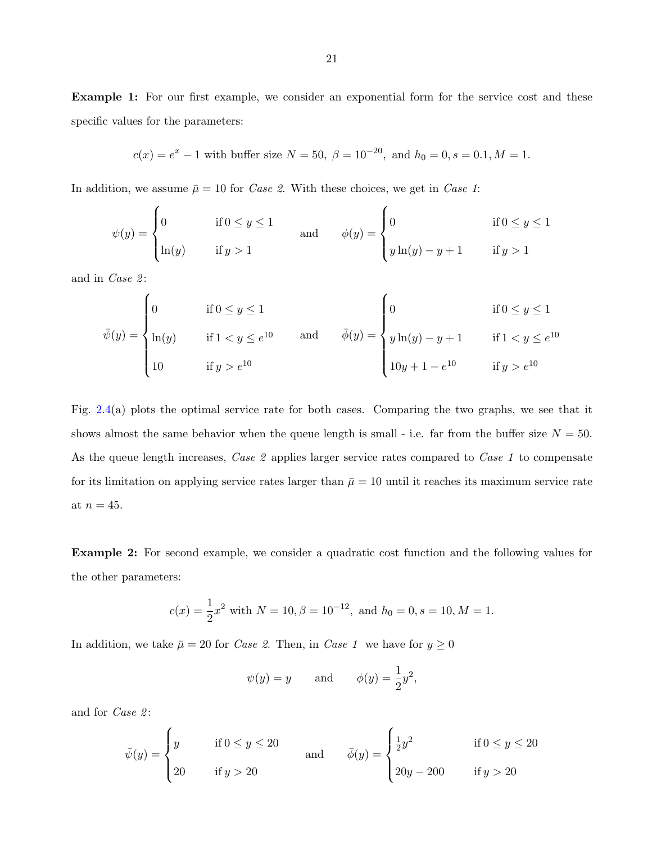**Example 1:** For our first example, we consider an exponential form for the service cost and these specific values for the parameters:

$$
c(x) = e^x - 1
$$
 with buffer size  $N = 50$ ,  $\beta = 10^{-20}$ , and  $h_0 = 0$ ,  $s = 0.1$ ,  $M = 1$ .

In addition, we assume  $\bar{\mu} = 10$  for *Case 2*. With these choices, we get in *Case 1*:

$$
\psi(y) = \begin{cases}\n0 & \text{if } 0 \le y \le 1 \\
\ln(y) & \text{if } y > 1\n\end{cases}\n\text{ and } \n\phi(y) = \begin{cases}\n0 & \text{if } 0 \le y \le 1 \\
y \ln(y) - y + 1 & \text{if } y > 1\n\end{cases}
$$

and in *Case 2*:

$$
\bar{\psi}(y) = \begin{cases}\n0 & \text{if } 0 \le y \le 1 \\
\ln(y) & \text{if } 1 < y \le e^{10} \\
10 & \text{if } y > e^{10}\n\end{cases}\n\quad \text{and} \quad\n\bar{\phi}(y) = \begin{cases}\n0 & \text{if } 0 \le y \le 1 \\
y \ln(y) - y + 1 & \text{if } 1 < y \le e^{10} \\
10y + 1 - e^{10} & \text{if } y > e^{10}\n\end{cases}
$$

Fig. [2.4\(](#page-29-0)a) plots the optimal service rate for both cases. Comparing the two graphs, we see that it shows almost the same behavior when the queue length is small - i.e. far from the buffer size  $N = 50$ . As the queue length increases, Case 2 applies larger service rates compared to Case 1 to compensate for its limitation on applying service rates larger than  $\bar{\mu} = 10$  until it reaches its maximum service rate at  $n = 45$ .

Example 2: For second example, we consider a quadratic cost function and the following values for the other parameters:

$$
c(x) = \frac{1}{2}x^2
$$
 with  $N = 10$ ,  $\beta = 10^{-12}$ , and  $h_0 = 0$ ,  $s = 10$ ,  $M = 1$ .

In addition, we take  $\bar{\mu} = 20$  for *Case 2*. Then, in *Case 1* we have for  $y \ge 0$ 

$$
\psi(y) = y
$$
 and  $\phi(y) = \frac{1}{2}y^2$ ,

and for *Case 2*:

$$
\bar{\psi}(y) = \begin{cases}\ny & \text{if } 0 \le y \le 20 \\
20 & \text{if } y > 20\n\end{cases}\n\text{ and } \n\bar{\phi}(y) = \begin{cases}\n\frac{1}{2}y^2 & \text{if } 0 \le y \le 20 \\
20y - 200 & \text{if } y > 20\n\end{cases}
$$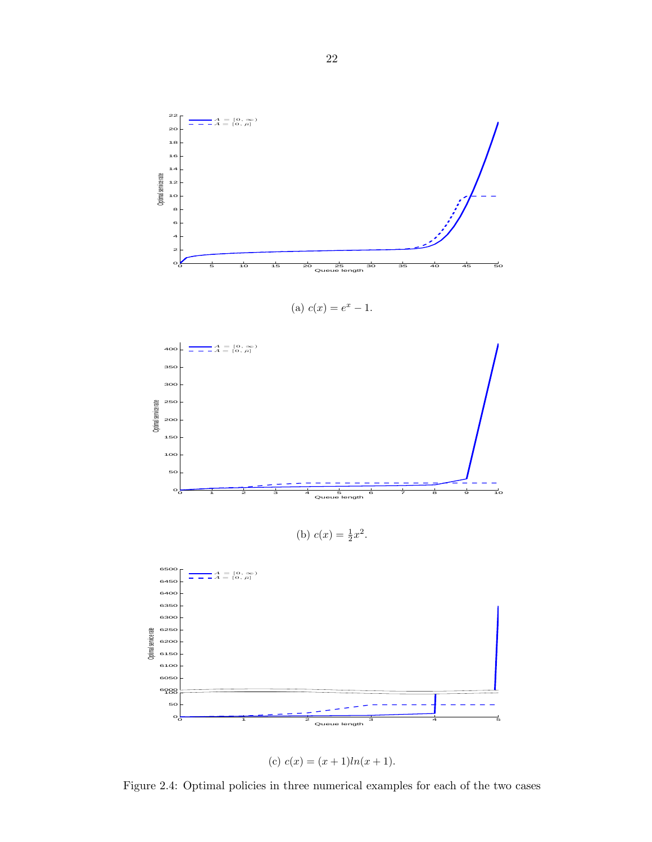<span id="page-29-0"></span>

(a) 
$$
c(x) = e^x - 1
$$
.



 1 2 3 4 5 Queue length (c)  $c(x) = (x+1)ln(x+1)$ .

 $\circ$ <sup>1</sup><sub>0</sub> 

Figure 2.4: Optimal policies in three numerical examples for each of the two cases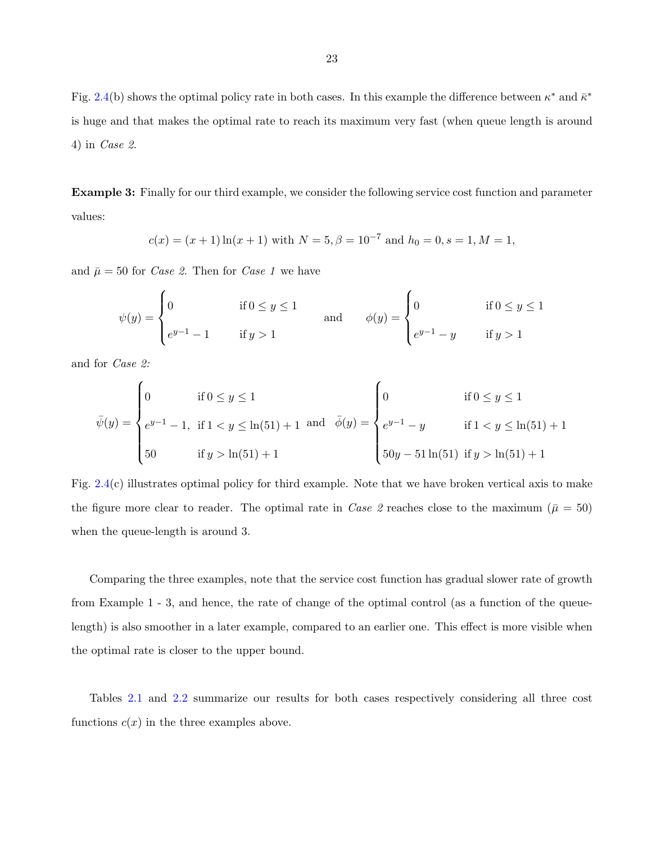Fig. [2.4\(](#page-29-0)b) shows the optimal policy rate in both cases. In this example the difference between  $\kappa^*$  and  $\bar{\kappa}^*$ is huge and that makes the optimal rate to reach its maximum very fast (when queue length is around 4) in Case 2.

Example 3: Finally for our third example, we consider the following service cost function and parameter values:

$$
c(x) = (x + 1) \ln(x + 1)
$$
 with  $N = 5$ ,  $\beta = 10^{-7}$  and  $h_0 = 0$ ,  $s = 1$ ,  $M = 1$ ,

and  $\bar{\mu} = 50$  for *Case 2*. Then for *Case 1* we have

$$
\psi(y) = \begin{cases}\n0 & \text{if } 0 \le y \le 1 \\
e^{y-1} - 1 & \text{if } y > 1\n\end{cases}\n\text{ and } \n\phi(y) = \begin{cases}\n0 & \text{if } 0 \le y \le 1 \\
e^{y-1} - y & \text{if } y > 1\n\end{cases}
$$

and for Case 2:

$$
\bar{\psi}(y) = \begin{cases}\n0 & \text{if } 0 \le y \le 1 \\
e^{y-1} - 1, & \text{if } 1 < y \le \ln(51) + 1 \\
50 & \text{if } y > \ln(51) + 1\n\end{cases}\n\text{ and } \bar{\phi}(y) = \begin{cases}\n0 & \text{if } 0 \le y \le 1 \\
e^{y-1} - y & \text{if } 1 < y \le \ln(51) + 1 \\
50y - 51\ln(51) & \text{if } y > \ln(51) + 1\n\end{cases}
$$

Fig. [2.4\(](#page-29-0)c) illustrates optimal policy for third example. Note that we have broken vertical axis to make the figure more clear to reader. The optimal rate in Case 2 reaches close to the maximum ( $\bar{\mu} = 50$ ) when the queue-length is around 3.

Comparing the three examples, note that the service cost function has gradual slower rate of growth from Example 1 - 3, and hence, the rate of change of the optimal control (as a function of the queuelength) is also smoother in a later example, compared to an earlier one. This effect is more visible when the optimal rate is closer to the upper bound.

Tables [2.1](#page-31-0) and [2.2](#page-31-0) summarize our results for both cases respectively considering all three cost functions  $c(x)$  in the three examples above.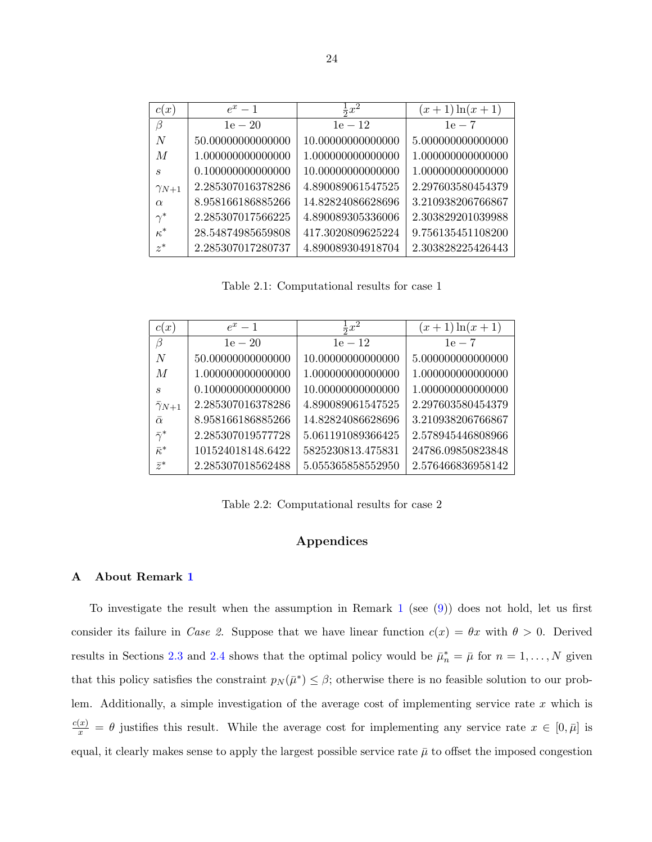<span id="page-31-0"></span>

| c(x)           | $e^x-1$           | $\frac{1}{2}x^2$  | $(x+1)\ln(x+1)$   |
|----------------|-------------------|-------------------|-------------------|
| $\beta$        | $1e - 20$         | $1e - 12$         | $1e-7$            |
| N              | 50.00000000000000 | 10.00000000000000 | 5.000000000000000 |
| M              | 1.000000000000000 | 1.000000000000000 | 1.000000000000000 |
| S              | 0.100000000000000 | 10.00000000000000 | 1.000000000000000 |
| $\gamma_{N+1}$ | 2.285307016378286 | 4.890089061547525 | 2.297603580454379 |
| $\alpha$       | 8.958166186885266 | 14.82824086628696 | 3.210938206766867 |
| $\gamma^*$     | 2.285307017566225 | 4.890089305336006 | 2.303829201039988 |
| $\kappa^*$     | 28.54874985659808 | 417.3020809625224 | 9.756135451108200 |
| $z^*$          | 2.285307017280737 | 4.890089304918704 | 2.303828225426443 |

Table 2.1: Computational results for case 1

| c(x)                 | $e^x-1$           | $\frac{1}{2}x^2$  | $(x+1)\ln(x+1)$   |
|----------------------|-------------------|-------------------|-------------------|
| B                    | $1e - 20$         | $1e - 12$         | $1e-7$            |
| N                    | 50.00000000000000 | 10.00000000000000 | 5.000000000000000 |
| M                    | 1.000000000000000 | 1.000000000000000 | 1.000000000000000 |
| S                    | 0.100000000000000 | 10.00000000000000 | 1.000000000000000 |
| $\bar{\gamma}_{N+1}$ | 2.285307016378286 | 4.890089061547525 | 2.297603580454379 |
| $\bar{\alpha}$       | 8.958166186885266 | 14.82824086628696 | 3.210938206766867 |
| $\bar{\gamma}^*$     | 2.285307019577728 | 5.061191089366425 | 2.578945446808966 |
| $\bar{\kappa}^*$     | 101524018148.6422 | 5825230813.475831 | 24786.09850823848 |
| $\bar{z}^*$          | 2.285307018562488 | 5.055365858552950 | 2.576466836958142 |

Table 2.2: Computational results for case 2

### Appendices

#### A About Remark [1](#page-15-0)

To investigate the result when the assumption in Remark [1](#page-15-0) (see  $(9)$ ) does not hold, let us first consider its failure in Case 2. Suppose that we have linear function  $c(x) = \theta x$  with  $\theta > 0$ . Derived results in Sections [2.3](#page-15-0) and [2.4](#page-24-0) shows that the optimal policy would be  $\bar{\mu}_n^* = \bar{\mu}$  for  $n = 1, ..., N$  given that this policy satisfies the constraint  $p_N(\bar{\mu}^*) \leq \beta$ ; otherwise there is no feasible solution to our problem. Additionally, a simple investigation of the average cost of implementing service rate  $x$  which is  $\frac{c(x)}{x} = \theta$  justifies this result. While the average cost for implementing any service rate  $x \in [0, \bar{\mu}]$  is equal, it clearly makes sense to apply the largest possible service rate  $\bar{\mu}$  to offset the imposed congestion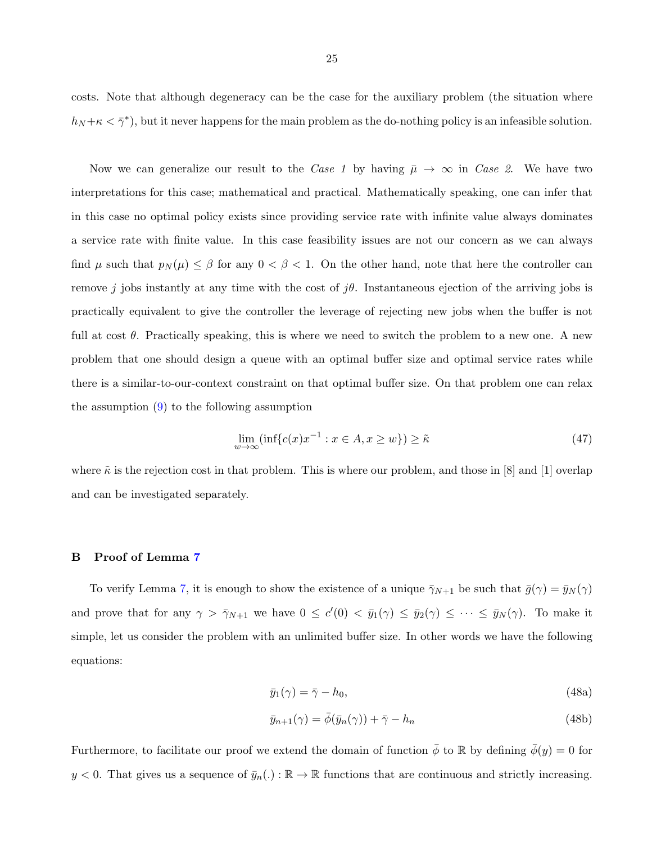<span id="page-32-0"></span>costs. Note that although degeneracy can be the case for the auxiliary problem (the situation where  $h_N + \kappa < \bar{\gamma}^*$ , but it never happens for the main problem as the do-nothing policy is an infeasible solution.

Now we can generalize our result to the Case 1 by having  $\bar{\mu} \to \infty$  in Case 2. We have two interpretations for this case; mathematical and practical. Mathematically speaking, one can infer that in this case no optimal policy exists since providing service rate with infinite value always dominates a service rate with finite value. In this case feasibility issues are not our concern as we can always find  $\mu$  such that  $p_N(\mu) \leq \beta$  for any  $0 < \beta < 1$ . On the other hand, note that here the controller can remove j jobs instantly at any time with the cost of  $j\theta$ . Instantaneous ejection of the arriving jobs is practically equivalent to give the controller the leverage of rejecting new jobs when the buffer is not full at cost  $\theta$ . Practically speaking, this is where we need to switch the problem to a new one. A new problem that one should design a queue with an optimal buffer size and optimal service rates while there is a similar-to-our-context constraint on that optimal buffer size. On that problem one can relax the assumption [\(9\)](#page-15-0) to the following assumption

$$
\lim_{w \to \infty} (\inf \{ c(x)x^{-1} : x \in A, x \ge w \}) \ge \tilde{\kappa}
$$
\n(47)

where  $\tilde{\kappa}$  is the rejection cost in that problem. This is where our problem, and those in [8] and [1] overlap and can be investigated separately.

#### B Proof of Lemma [7](#page-23-0)

To verify Lemma [7,](#page-23-0) it is enough to show the existence of a unique  $\bar{\gamma}_{N+1}$  be such that  $\bar{g}(\gamma) = \bar{y}_N(\gamma)$ and prove that for any  $\gamma > \bar{\gamma}_{N+1}$  we have  $0 \le c'(0) < \bar{y}_1(\gamma) \le \bar{y}_2(\gamma) \le \cdots \le \bar{y}_N(\gamma)$ . To make it simple, let us consider the problem with an unlimited buffer size. In other words we have the following equations:

$$
\bar{y}_1(\gamma) = \bar{\gamma} - h_0,\tag{48a}
$$

$$
\bar{y}_{n+1}(\gamma) = \bar{\phi}(\bar{y}_n(\gamma)) + \bar{\gamma} - h_n \tag{48b}
$$

Furthermore, to facilitate our proof we extend the domain of function  $\bar{\phi}$  to R by defining  $\bar{\phi}(y) = 0$  for  $y < 0$ . That gives us a sequence of  $\bar{y}_n(.) : \mathbb{R} \to \mathbb{R}$  functions that are continuous and strictly increasing.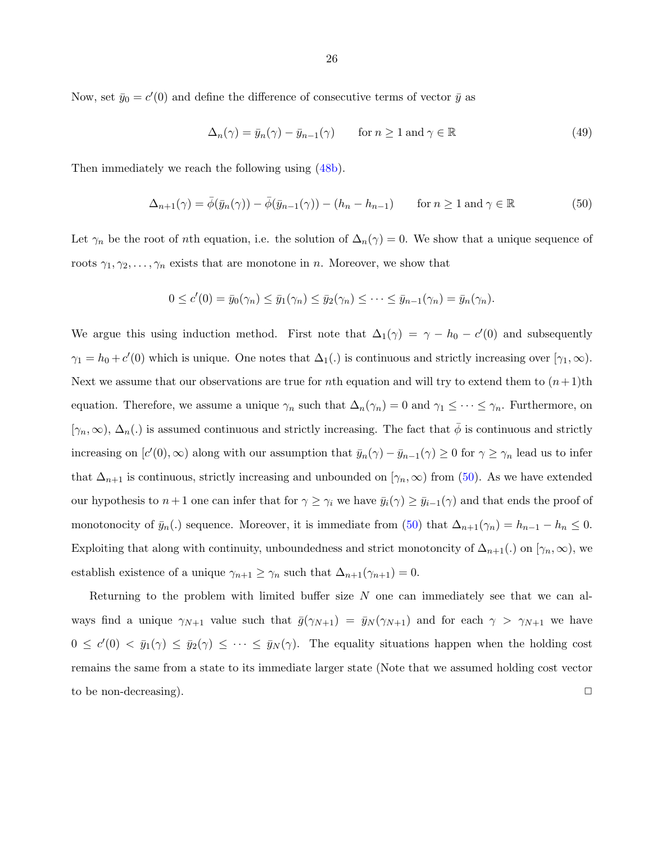Now, set  $\bar{y}_0 = c'(0)$  and define the difference of consecutive terms of vector  $\bar{y}$  as

$$
\Delta_n(\gamma) = \bar{y}_n(\gamma) - \bar{y}_{n-1}(\gamma) \qquad \text{for } n \ge 1 \text{ and } \gamma \in \mathbb{R} \tag{49}
$$

Then immediately we reach the following using  $(48b)$ .

$$
\Delta_{n+1}(\gamma) = \bar{\phi}(\bar{y}_n(\gamma)) - \bar{\phi}(\bar{y}_{n-1}(\gamma)) - (h_n - h_{n-1}) \quad \text{for } n \ge 1 \text{ and } \gamma \in \mathbb{R}
$$
 (50)

Let  $\gamma_n$  be the root of *n*th equation, i.e. the solution of  $\Delta_n(\gamma) = 0$ . We show that a unique sequence of roots  $\gamma_1, \gamma_2, \ldots, \gamma_n$  exists that are monotone in n. Moreover, we show that

$$
0 \leq c'(0) = \bar{y}_0(\gamma_n) \leq \bar{y}_1(\gamma_n) \leq \bar{y}_2(\gamma_n) \leq \cdots \leq \bar{y}_{n-1}(\gamma_n) = \bar{y}_n(\gamma_n).
$$

We argue this using induction method. First note that  $\Delta_1(\gamma) = \gamma - h_0 - c'(0)$  and subsequently  $\gamma_1 = h_0 + c'(0)$  which is unique. One notes that  $\Delta_1(.)$  is continuous and strictly increasing over  $[\gamma_1, \infty)$ . Next we assume that our observations are true for nth equation and will try to extend them to  $(n+1)$ th equation. Therefore, we assume a unique  $\gamma_n$  such that  $\Delta_n(\gamma_n) = 0$  and  $\gamma_1 \leq \cdots \leq \gamma_n$ . Furthermore, on  $[\gamma_n,\infty), \Delta_n(.)$  is assumed continuous and strictly increasing. The fact that  $\bar{\phi}$  is continuous and strictly increasing on  $[c'(0), \infty)$  along with our assumption that  $\bar{y}_n(\gamma) - \bar{y}_{n-1}(\gamma) \ge 0$  for  $\gamma \ge \gamma_n$  lead us to infer that  $\Delta_{n+1}$  is continuous, strictly increasing and unbounded on  $[\gamma_n,\infty)$  from (50). As we have extended our hypothesis to  $n+1$  one can infer that for  $\gamma \geq \gamma_i$  we have  $\bar{y}_i(\gamma) \geq \bar{y}_{i-1}(\gamma)$  and that ends the proof of monotonocity of  $\bar{y}_n(.)$  sequence. Moreover, it is immediate from (50) that  $\Delta_{n+1}(\gamma_n) = h_{n-1} - h_n \leq 0$ . Exploiting that along with continuity, unboundedness and strict monotoncity of  $\Delta_{n+1}(.)$  on  $[\gamma_n,\infty)$ , we establish existence of a unique  $\gamma_{n+1} \geq \gamma_n$  such that  $\Delta_{n+1}(\gamma_{n+1}) = 0$ .

Returning to the problem with limited buffer size  $N$  one can immediately see that we can always find a unique  $\gamma_{N+1}$  value such that  $\bar{g}(\gamma_{N+1}) = \bar{y}_N(\gamma_{N+1})$  and for each  $\gamma > \gamma_{N+1}$  we have  $0 \leq c'(0) < \bar{y}_1(\gamma) \leq \bar{y}_2(\gamma) \leq \cdots \leq \bar{y}_N(\gamma)$ . The equality situations happen when the holding cost remains the same from a state to its immediate larger state (Note that we assumed holding cost vector to be non-decreasing).  $\Box$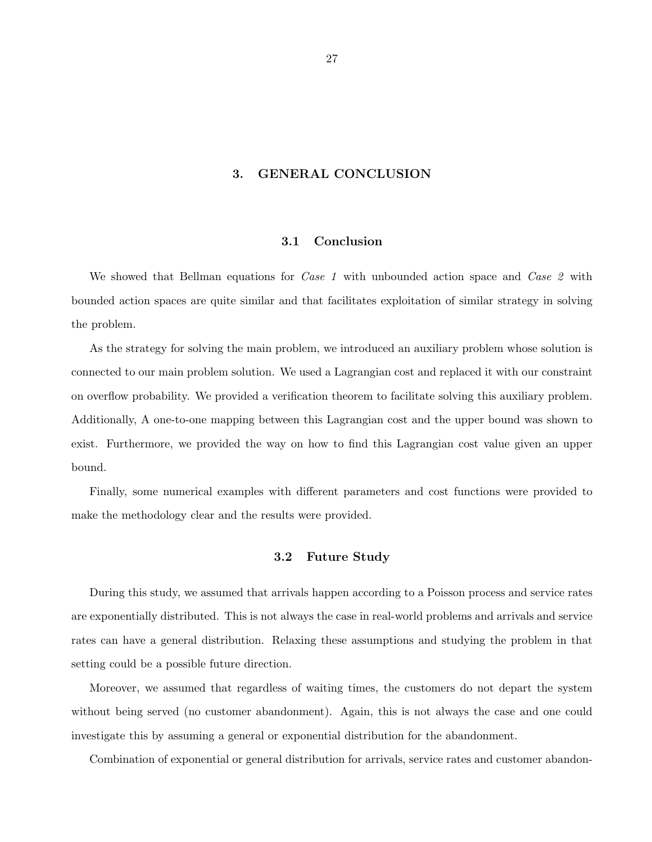### 3. GENERAL CONCLUSION

#### 3.1 Conclusion

<span id="page-34-0"></span>We showed that Bellman equations for *Case 1* with unbounded action space and *Case 2* with bounded action spaces are quite similar and that facilitates exploitation of similar strategy in solving the problem.

As the strategy for solving the main problem, we introduced an auxiliary problem whose solution is connected to our main problem solution. We used a Lagrangian cost and replaced it with our constraint on overflow probability. We provided a verification theorem to facilitate solving this auxiliary problem. Additionally, A one-to-one mapping between this Lagrangian cost and the upper bound was shown to exist. Furthermore, we provided the way on how to find this Lagrangian cost value given an upper bound.

Finally, some numerical examples with different parameters and cost functions were provided to make the methodology clear and the results were provided.

#### 3.2 Future Study

During this study, we assumed that arrivals happen according to a Poisson process and service rates are exponentially distributed. This is not always the case in real-world problems and arrivals and service rates can have a general distribution. Relaxing these assumptions and studying the problem in that setting could be a possible future direction.

Moreover, we assumed that regardless of waiting times, the customers do not depart the system without being served (no customer abandonment). Again, this is not always the case and one could investigate this by assuming a general or exponential distribution for the abandonment.

Combination of exponential or general distribution for arrivals, service rates and customer abandon-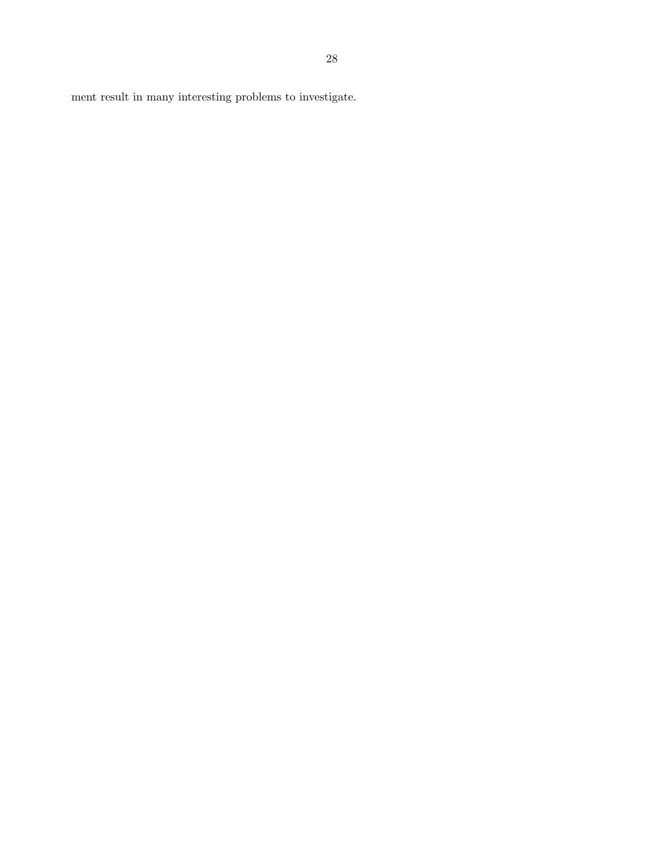ment result in many interesting problems to investigate.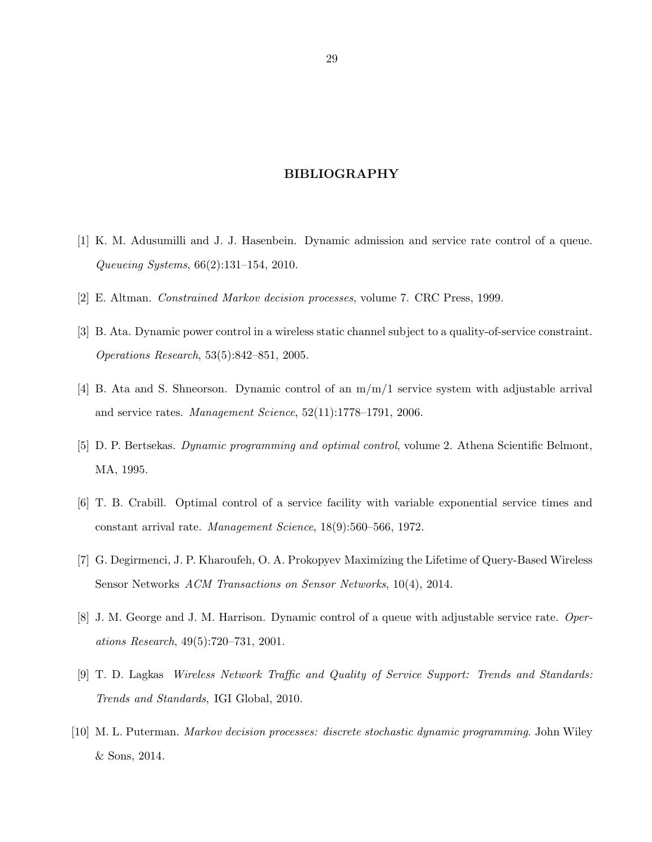#### BIBLIOGRAPHY

- <span id="page-36-0"></span>[1] K. M. Adusumilli and J. J. Hasenbein. Dynamic admission and service rate control of a queue. Queueing Systems, 66(2):131–154, 2010.
- [2] E. Altman. Constrained Markov decision processes, volume 7. CRC Press, 1999.
- [3] B. Ata. Dynamic power control in a wireless static channel subject to a quality-of-service constraint. Operations Research, 53(5):842–851, 2005.
- [4] B. Ata and S. Shneorson. Dynamic control of an m/m/1 service system with adjustable arrival and service rates. Management Science, 52(11):1778–1791, 2006.
- [5] D. P. Bertsekas. Dynamic programming and optimal control, volume 2. Athena Scientific Belmont, MA, 1995.
- [6] T. B. Crabill. Optimal control of a service facility with variable exponential service times and constant arrival rate. Management Science, 18(9):560–566, 1972.
- [7] G. Degirmenci, J. P. Kharoufeh, O. A. Prokopyev Maximizing the Lifetime of Query-Based Wireless Sensor Networks ACM Transactions on Sensor Networks, 10(4), 2014.
- [8] J. M. George and J. M. Harrison. Dynamic control of a queue with adjustable service rate. Operations Research, 49(5):720–731, 2001.
- [9] T. D. Lagkas Wireless Network Traffic and Quality of Service Support: Trends and Standards: Trends and Standards, IGI Global, 2010.
- [10] M. L. Puterman. Markov decision processes: discrete stochastic dynamic programming. John Wiley & Sons, 2014.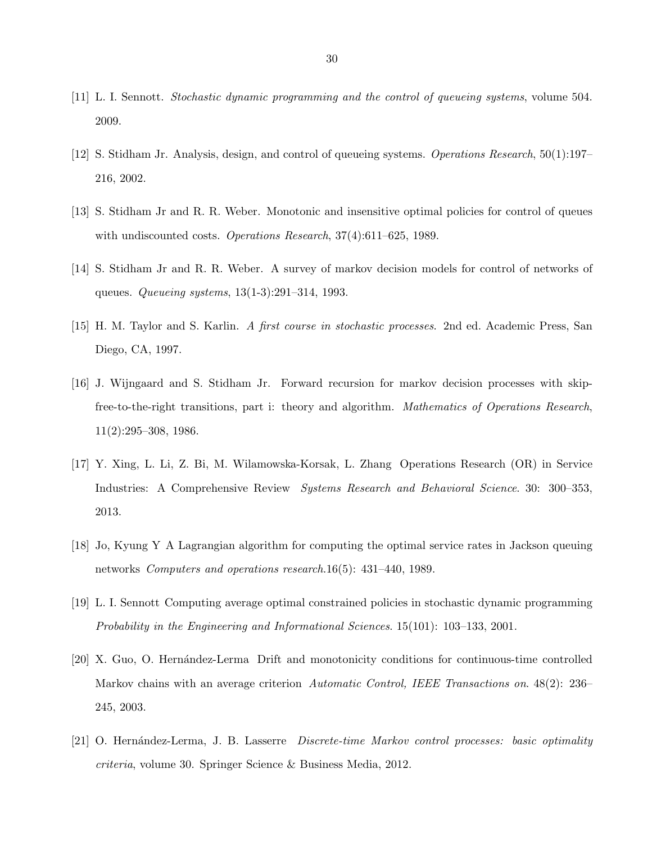- [11] L. I. Sennott. Stochastic dynamic programming and the control of queueing systems, volume 504. 2009.
- [12] S. Stidham Jr. Analysis, design, and control of queueing systems. Operations Research, 50(1):197– 216, 2002.
- [13] S. Stidham Jr and R. R. Weber. Monotonic and insensitive optimal policies for control of queues with undiscounted costs. *Operations Research*, 37(4):611–625, 1989.
- [14] S. Stidham Jr and R. R. Weber. A survey of markov decision models for control of networks of queues. Queueing systems, 13(1-3):291–314, 1993.
- [15] H. M. Taylor and S. Karlin. A first course in stochastic processes. 2nd ed. Academic Press, San Diego, CA, 1997.
- [16] J. Wijngaard and S. Stidham Jr. Forward recursion for markov decision processes with skipfree-to-the-right transitions, part i: theory and algorithm. Mathematics of Operations Research, 11(2):295–308, 1986.
- [17] Y. Xing, L. Li, Z. Bi, M. Wilamowska-Korsak, L. Zhang Operations Research (OR) in Service Industries: A Comprehensive Review *Systems Research and Behavioral Science*. 30: 300–353, 2013.
- [18] Jo, Kyung Y A Lagrangian algorithm for computing the optimal service rates in Jackson queuing networks Computers and operations research.16(5): 431–440, 1989.
- [19] L. I. Sennott Computing average optimal constrained policies in stochastic dynamic programming Probability in the Engineering and Informational Sciences. 15(101): 103–133, 2001.
- [20] X. Guo, O. Hernández-Lerma Drift and monotonicity conditions for continuous-time controlled Markov chains with an average criterion Automatic Control, IEEE Transactions on. 48(2): 236– 245, 2003.
- [21] O. Hernández-Lerma, J. B. Lasserre Discrete-time Markov control processes: basic optimality criteria, volume 30. Springer Science & Business Media, 2012.